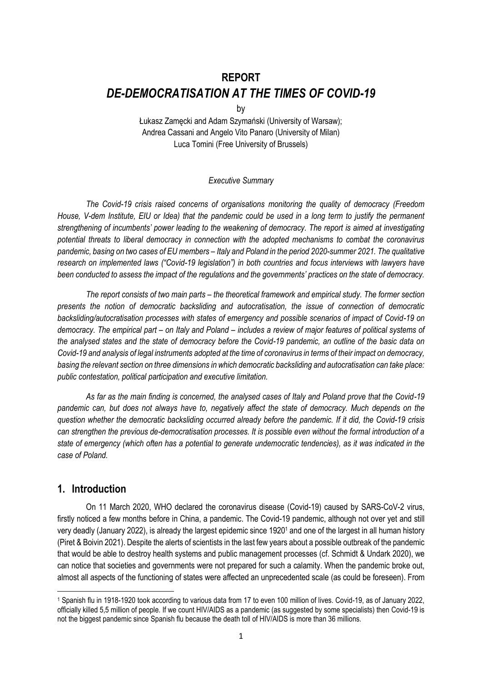# **REPORT**  *DE-DEMOCRATISATION AT THE TIMES OF COVID-19*

by

Łukasz Zamęcki and Adam Szymański (University of Warsaw); Andrea Cassani and Angelo Vito Panaro (University of Milan) Luca Tomini (Free University of Brussels)

#### *Executive Summary*

*The Covid-19 crisis raised concerns of organisations monitoring the quality of democracy (Freedom House, V-dem Institute, EIU or Idea) that the pandemic could be used in a long term to justify the permanent strengthening of incumbents' power leading to the weakening of democracy. The report is aimed at investigating potential threats to liberal democracy in connection with the adopted mechanisms to combat the coronavirus pandemic, basing on two cases of EU members – Italy and Poland in the period 2020-summer 2021. The qualitative research on implemented laws ("Covid-19 legislation") in both countries and focus interviews with lawyers have been conducted to assess the impact of the regulations and the governments' practices on the state of democracy.*

*The report consists of two main parts – the theoretical framework and empirical study. The former section presents the notion of democratic backsliding and autocratisation, the issue of connection of democratic backsliding/autocratisation processes with states of emergency and possible scenarios of impact of Covid-19 on democracy. The empirical part – on Italy and Poland – includes a review of major features of political systems of the analysed states and the state of democracy before the Covid-19 pandemic, an outline of the basic data on Covid-19 and analysis of legal instruments adopted at the time of coronavirus in terms of their impact on democracy, basing the relevant section on three dimensions in which democratic backsliding and autocratisation can take place: public contestation, political participation and executive limitation.*

*As far as the main finding is concerned, the analysed cases of Italy and Poland prove that the Covid-19 pandemic can, but does not always have to, negatively affect the state of democracy. Much depends on the question whether the democratic backsliding occurred already before the pandemic. If it did, the Covid-19 crisis can strengthen the previous de-democratisation processes. It is possible even without the formal introduction of a state of emergency (which often has a potential to generate undemocratic tendencies), as it was indicated in the case of Poland.*

# **1. Introduction**

l

On 11 March 2020, WHO declared the coronavirus disease (Covid-19) caused by SARS-CoV-2 virus, firstly noticed a few months before in China, a pandemic. The Covid-19 pandemic, although not over yet and still very deadly (January 2022), is already the largest epidemic since 1920<sup>1</sup> and one of the largest in all human history (Piret & Boivin 2021). Despite the alerts of scientists in the last few years about a possible outbreak of the pandemic that would be able to destroy health systems and public management processes (cf. Schmidt & Undark 2020), we can notice that societies and governments were not prepared for such a calamity. When the pandemic broke out, almost all aspects of the functioning of states were affected an unprecedented scale (as could be foreseen). From

<sup>1</sup> Spanish flu in 1918-1920 took according to various data from 17 to even 100 million of lives. Covid-19, as of January 2022, officially killed 5,5 million of people. If we count HIV/AIDS as a pandemic (as suggested by some specialists) then Covid-19 is not the biggest pandemic since Spanish flu because the death toll of HIV/AIDS is more than 36 millions.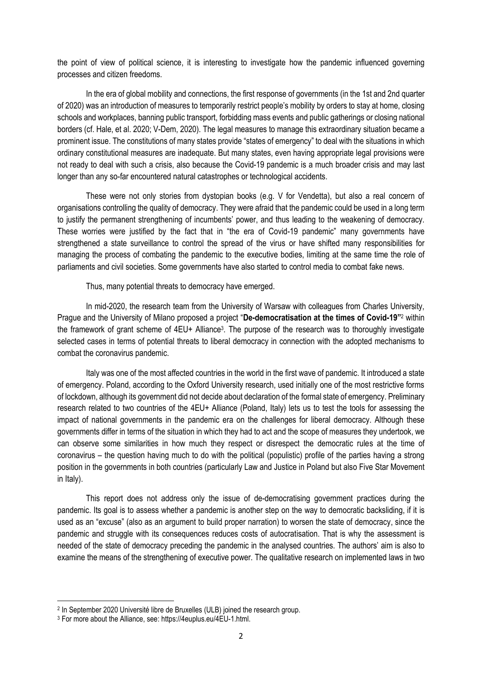the point of view of political science, it is interesting to investigate how the pandemic influenced governing processes and citizen freedoms.

In the era of global mobility and connections, the first response of governments (in the 1st and 2nd quarter of 2020) was an introduction of measures to temporarily restrict people's mobility by orders to stay at home, closing schools and workplaces, banning public transport, forbidding mass events and public gatherings or closing national borders (cf. Hale, et al. 2020; V-Dem, 2020). The legal measures to manage this extraordinary situation became a prominent issue. The constitutions of many states provide "states of emergency" to deal with the situations in which ordinary constitutional measures are inadequate. But many states, even having appropriate legal provisions were not ready to deal with such a crisis, also because the Covid-19 pandemic is a much broader crisis and may last longer than any so-far encountered natural catastrophes or technological accidents.

These were not only stories from dystopian books (e.g. V for Vendetta), but also a real concern of organisations controlling the quality of democracy. They were afraid that the pandemic could be used in a long term to justify the permanent strengthening of incumbents' power, and thus leading to the weakening of democracy. These worries were justified by the fact that in "the era of Covid-19 pandemic" many governments have strengthened a state surveillance to control the spread of the virus or have shifted many responsibilities for managing the process of combating the pandemic to the executive bodies, limiting at the same time the role of parliaments and civil societies. Some governments have also started to control media to combat fake news.

Thus, many potential threats to democracy have emerged.

In mid-2020, the research team from the University of Warsaw with colleagues from Charles University, Prague and the University of Milano proposed a project "**De-democratisation at the times of Covid-19"** <sup>2</sup> within the framework of grant scheme of 4EU+ Alliance<sup>3</sup>. The purpose of the research was to thoroughly investigate selected cases in terms of potential threats to liberal democracy in connection with the adopted mechanisms to combat the coronavirus pandemic.

Italy was one of the most affected countries in the world in the first wave of pandemic. It introduced a state of emergency. Poland, according to the Oxford University research, used initially one of the most restrictive forms of lockdown, although its government did not decide about declaration of the formal state of emergency. Preliminary research related to two countries of the 4EU+ Alliance (Poland, Italy) lets us to test the tools for assessing the impact of national governments in the pandemic era on the challenges for liberal democracy. Although these governments differ in terms of the situation in which they had to act and the scope of measures they undertook, we can observe some similarities in how much they respect or disrespect the democratic rules at the time of coronavirus – the question having much to do with the political (populistic) profile of the parties having a strong position in the governments in both countries (particularly Law and Justice in Poland but also Five Star Movement in Italy).

This report does not address only the issue of de-democratising government practices during the pandemic. Its goal is to assess whether a pandemic is another step on the way to democratic backsliding, if it is used as an "excuse" (also as an argument to build proper narration) to worsen the state of democracy, since the pandemic and struggle with its consequences reduces costs of autocratisation. That is why the assessment is needed of the state of democracy preceding the pandemic in the analysed countries. The authors' aim is also to examine the means of the strengthening of executive power. The qualitative research on implemented laws in two

 $\overline{a}$ 

<sup>2</sup> In September 2020 Université libre de Bruxelles (ULB) joined the research group.

<sup>3</sup> For more about the Alliance, see: https://4euplus.eu/4EU-1.html.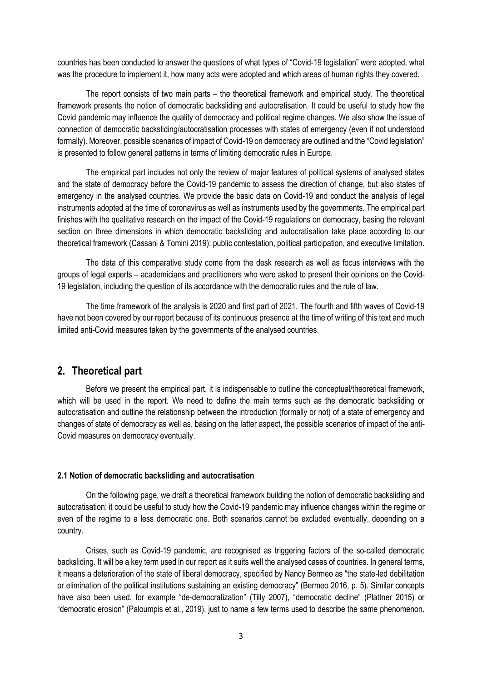countries has been conducted to answer the questions of what types of "Covid-19 legislation" were adopted, what was the procedure to implement it, how many acts were adopted and which areas of human rights they covered.

The report consists of two main parts – the theoretical framework and empirical study. The theoretical framework presents the notion of democratic backsliding and autocratisation. It could be useful to study how the Covid pandemic may influence the quality of democracy and political regime changes. We also show the issue of connection of democratic backsliding/autocratisation processes with states of emergency (even if not understood formally). Moreover, possible scenarios of impact of Covid-19 on democracy are outlined and the "Covid legislation" is presented to follow general patterns in terms of limiting democratic rules in Europe.

The empirical part includes not only the review of major features of political systems of analysed states and the state of democracy before the Covid-19 pandemic to assess the direction of change, but also states of emergency in the analysed countries. We provide the basic data on Covid-19 and conduct the analysis of legal instruments adopted at the time of coronavirus as well as instruments used by the governments. The empirical part finishes with the qualitative research on the impact of the Covid-19 regulations on democracy, basing the relevant section on three dimensions in which democratic backsliding and autocratisation take place according to our theoretical framework (Cassani & Tomini 2019): public contestation, political participation, and executive limitation.

The data of this comparative study come from the desk research as well as focus interviews with the groups of legal experts – academicians and practitioners who were asked to present their opinions on the Covid-19 legislation, including the question of its accordance with the democratic rules and the rule of law.

The time framework of the analysis is 2020 and first part of 2021. The fourth and fifth waves of Covid-19 have not been covered by our report because of its continuous presence at the time of writing of this text and much limited anti-Covid measures taken by the governments of the analysed countries.

# **2. Theoretical part**

Before we present the empirical part, it is indispensable to outline the conceptual/theoretical framework, which will be used in the report. We need to define the main terms such as the democratic backsliding or autocratisation and outline the relationship between the introduction (formally or not) of a state of emergency and changes of state of democracy as well as, basing on the latter aspect, the possible scenarios of impact of the anti-Covid measures on democracy eventually.

#### **2.1 Notion of democratic backsliding and autocratisation**

On the following page, we draft a theoretical framework building the notion of democratic backsliding and autocratisation; it could be useful to study how the Covid-19 pandemic may influence changes within the regime or even of the regime to a less democratic one. Both scenarios cannot be excluded eventually, depending on a country.

Crises, such as Covid-19 pandemic, are recognised as triggering factors of the so-called democratic backsliding. It will be a key term used in our report as it suits well the analysed cases of countries. In general terms, it means a deterioration of the state of liberal democracy, specified by Nancy Bermeo as "the state-led debilitation or elimination of the political institutions sustaining an existing democracy" (Bermeo 2016, p. 5). Similar concepts have also been used, for example "de-democratization" (Tilly 2007), "democratic decline" (Plattner 2015) or "democratic erosion" (Paloumpis et al., 2019), just to name a few terms used to describe the same phenomenon.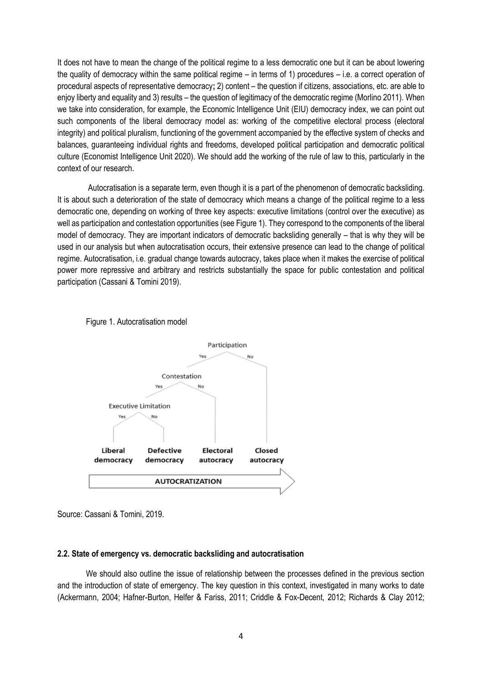It does not have to mean the change of the political regime to a less democratic one but it can be about lowering the quality of democracy within the same political regime – in terms of 1) procedures – i.e. a correct operation of procedural aspects of representative democracy**;** 2) content – the question if citizens, associations, etc. are able to enjoy liberty and equality and 3) results – the question of legitimacy of the democratic regime (Morlino 2011). When we take into consideration, for example, the Economic Intelligence Unit (EIU) democracy index, we can point out such components of the liberal democracy model as: working of the competitive electoral process (electoral integrity) and political pluralism, functioning of the government accompanied by the effective system of checks and balances, guaranteeing individual rights and freedoms, developed political participation and democratic political culture (Economist Intelligence Unit 2020). We should add the working of the rule of law to this, particularly in the context of our research.

Autocratisation is a separate term, even though it is a part of the phenomenon of democratic backsliding. It is about such a deterioration of the state of democracy which means a change of the political regime to a less democratic one, depending on working of three key aspects: executive limitations (control over the executive) as well as participation and contestation opportunities (see Figure 1). They correspond to the components of the liberal model of democracy. They are important indicators of democratic backsliding generally – that is why they will be used in our analysis but when autocratisation occurs, their extensive presence can lead to the change of political regime. Autocratisation, i.e. gradual change towards autocracy, takes place when it makes the exercise of political power more repressive and arbitrary and restricts substantially the space for public contestation and political participation (Cassani & Tomini 2019).





Source: Cassani & Tomini, 2019.

### **2.2. State of emergency vs. democratic backsliding and autocratisation**

We should also outline the issue of relationship between the processes defined in the previous section and the introduction of state of emergency. The key question in this context, investigated in many works to date (Ackermann, 2004; Hafner-Burton, Helfer & Fariss, 2011; Criddle & Fox-Decent, 2012; Richards & Clay 2012;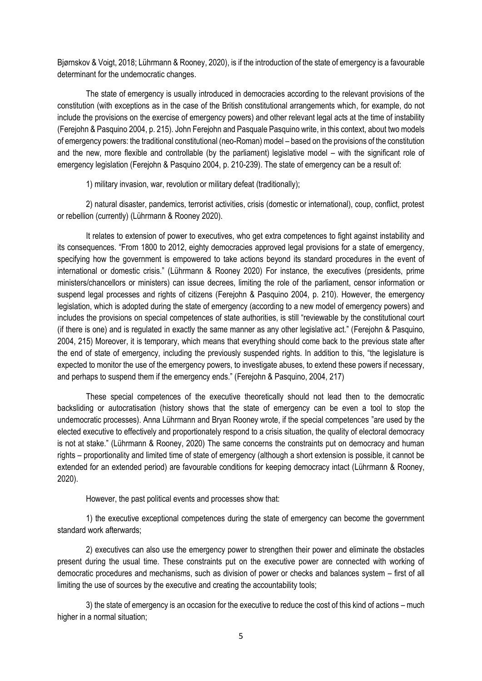Bjørnskov & Voigt, 2018; Lührmann & Rooney, 2020), is if the introduction of the state of emergency is a favourable determinant for the undemocratic changes.

The state of emergency is usually introduced in democracies according to the relevant provisions of the constitution (with exceptions as in the case of the British constitutional arrangements which, for example, do not include the provisions on the exercise of emergency powers) and other relevant legal acts at the time of instability (Ferejohn & Pasquino 2004, p. 215). John Ferejohn and Pasquale Pasquino write, in this context, about two models of emergency powers: the traditional constitutional (neo-Roman) model – based on the provisions of the constitution and the new, more flexible and controllable (by the parliament) legislative model – with the significant role of emergency legislation (Ferejohn & Pasquino 2004, p. 210-239). The state of emergency can be a result of:

1) military invasion, war, revolution or military defeat (traditionally);

2) natural disaster, pandemics, terrorist activities, crisis (domestic or international), coup, conflict, protest or rebellion (currently) (Lührmann & Rooney 2020).

It relates to extension of power to executives, who get extra competences to fight against instability and its consequences. "From 1800 to 2012, eighty democracies approved legal provisions for a state of emergency, specifying how the government is empowered to take actions beyond its standard procedures in the event of international or domestic crisis." (Lührmann & Rooney 2020) For instance, the executives (presidents, prime ministers/chancellors or ministers) can issue decrees, limiting the role of the parliament, censor information or suspend legal processes and rights of citizens (Ferejohn & Pasquino 2004, p. 210). However, the emergency legislation, which is adopted during the state of emergency (according to a new model of emergency powers) and includes the provisions on special competences of state authorities, is still "reviewable by the constitutional court (if there is one) and is regulated in exactly the same manner as any other legislative act." (Ferejohn & Pasquino, 2004, 215) Moreover, it is temporary, which means that everything should come back to the previous state after the end of state of emergency, including the previously suspended rights. In addition to this, "the legislature is expected to monitor the use of the emergency powers, to investigate abuses, to extend these powers if necessary, and perhaps to suspend them if the emergency ends." (Ferejohn & Pasquino, 2004, 217)

These special competences of the executive theoretically should not lead then to the democratic backsliding or autocratisation (history shows that the state of emergency can be even a tool to stop the undemocratic processes). Anna Lührmann and Bryan Rooney wrote, if the special competences "are used by the elected executive to effectively and proportionately respond to a crisis situation, the quality of electoral democracy is not at stake." (Lührmann & Rooney, 2020) The same concerns the constraints put on democracy and human rights – proportionality and limited time of state of emergency (although a short extension is possible, it cannot be extended for an extended period) are favourable conditions for keeping democracy intact (Lührmann & Rooney, 2020).

However, the past political events and processes show that:

1) the executive exceptional competences during the state of emergency can become the government standard work afterwards;

2) executives can also use the emergency power to strengthen their power and eliminate the obstacles present during the usual time. These constraints put on the executive power are connected with working of democratic procedures and mechanisms, such as division of power or checks and balances system – first of all limiting the use of sources by the executive and creating the accountability tools;

3) the state of emergency is an occasion for the executive to reduce the cost of this kind of actions – much higher in a normal situation;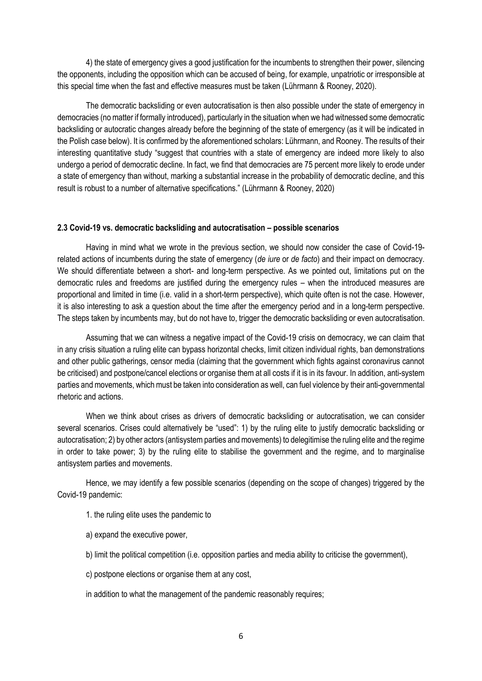4) the state of emergency gives a good justification for the incumbents to strengthen their power, silencing the opponents, including the opposition which can be accused of being, for example, unpatriotic or irresponsible at this special time when the fast and effective measures must be taken (Lührmann & Rooney, 2020).

The democratic backsliding or even autocratisation is then also possible under the state of emergency in democracies (no matter if formally introduced), particularly in the situation when we had witnessed some democratic backsliding or autocratic changes already before the beginning of the state of emergency (as it will be indicated in the Polish case below). It is confirmed by the aforementioned scholars: Lührmann, and Rooney. The results of their interesting quantitative study "suggest that countries with a state of emergency are indeed more likely to also undergo a period of democratic decline. In fact, we find that democracies are 75 percent more likely to erode under a state of emergency than without, marking a substantial increase in the probability of democratic decline, and this result is robust to a number of alternative specifications." (Lührmann & Rooney, 2020)

### **2.3 Covid-19 vs. democratic backsliding and autocratisation – possible scenarios**

Having in mind what we wrote in the previous section, we should now consider the case of Covid-19 related actions of incumbents during the state of emergency (*de iure* or *de facto*) and their impact on democracy. We should differentiate between a short- and long-term perspective. As we pointed out, limitations put on the democratic rules and freedoms are justified during the emergency rules – when the introduced measures are proportional and limited in time (i.e. valid in a short-term perspective), which quite often is not the case. However, it is also interesting to ask a question about the time after the emergency period and in a long-term perspective. The steps taken by incumbents may, but do not have to, trigger the democratic backsliding or even autocratisation.

Assuming that we can witness a negative impact of the Covid-19 crisis on democracy, we can claim that in any crisis situation a ruling elite can bypass horizontal checks, limit citizen individual rights, ban demonstrations and other public gatherings, censor media (claiming that the government which fights against coronavirus cannot be criticised) and postpone/cancel elections or organise them at all costs if it is in its favour. In addition, anti-system parties and movements, which must be taken into consideration as well, can fuel violence by their anti-governmental rhetoric and actions.

When we think about crises as drivers of democratic backsliding or autocratisation, we can consider several scenarios. Crises could alternatively be "used": 1) by the ruling elite to justify democratic backsliding or autocratisation; 2) by other actors (antisystem parties and movements) to delegitimise the ruling elite and the regime in order to take power; 3) by the ruling elite to stabilise the government and the regime, and to marginalise antisystem parties and movements.

Hence, we may identify a few possible scenarios (depending on the scope of changes) triggered by the Covid-19 pandemic:

- 1. the ruling elite uses the pandemic to
- a) expand the executive power,
- b) limit the political competition (i.e. opposition parties and media ability to criticise the government),
- c) postpone elections or organise them at any cost,
- in addition to what the management of the pandemic reasonably requires;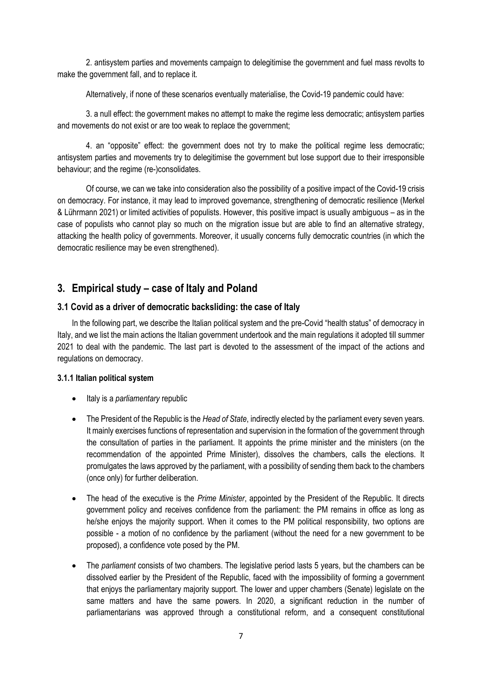2. antisystem parties and movements campaign to delegitimise the government and fuel mass revolts to make the government fall, and to replace it.

Alternatively, if none of these scenarios eventually materialise, the Covid-19 pandemic could have:

3. a null effect: the government makes no attempt to make the regime less democratic; antisystem parties and movements do not exist or are too weak to replace the government;

4. an "opposite" effect: the government does not try to make the political regime less democratic; antisystem parties and movements try to delegitimise the government but lose support due to their irresponsible behaviour; and the regime (re-)consolidates.

Of course, we can we take into consideration also the possibility of a positive impact of the Covid-19 crisis on democracy. For instance, it may lead to improved governance, strengthening of democratic resilience (Merkel & Lührmann 2021) or limited activities of populists. However, this positive impact is usually ambiguous – as in the case of populists who cannot play so much on the migration issue but are able to find an alternative strategy, attacking the health policy of governments. Moreover, it usually concerns fully democratic countries (in which the democratic resilience may be even strengthened).

# **3. Empirical study – case of Italy and Poland**

# **3.1 Covid as a driver of democratic backsliding: the case of Italy**

In the following part, we describe the Italian political system and the pre-Covid "health status" of democracy in Italy, and we list the main actions the Italian government undertook and the main regulations it adopted till summer 2021 to deal with the pandemic. The last part is devoted to the assessment of the impact of the actions and regulations on democracy.

### **3.1.1 Italian political system**

- Italy is a *parliamentary* republic
- The President of the Republic is the *Head of State*, indirectly elected by the parliament every seven years. It mainly exercises functions of representation and supervision in the formation of the government through the consultation of parties in the parliament. It appoints the prime minister and the ministers (on the recommendation of the appointed Prime Minister), dissolves the chambers, calls the elections. It promulgates the laws approved by the parliament, with a possibility of sending them back to the chambers (once only) for further deliberation.
- The head of the executive is the *Prime Minister*, appointed by the President of the Republic. It directs government policy and receives confidence from the parliament: the PM remains in office as long as he/she enjoys the majority support. When it comes to the PM political responsibility, two options are possible - a motion of no confidence by the parliament (without the need for a new government to be proposed), a confidence vote posed by the PM.
- The *parliament* consists of two chambers. The legislative period lasts 5 years, but the chambers can be dissolved earlier by the President of the Republic, faced with the impossibility of forming a government that enjoys the parliamentary majority support. The lower and upper chambers (Senate) legislate on the same matters and have the same powers. In 2020, a significant reduction in the number of parliamentarians was approved through a constitutional reform, and a consequent constitutional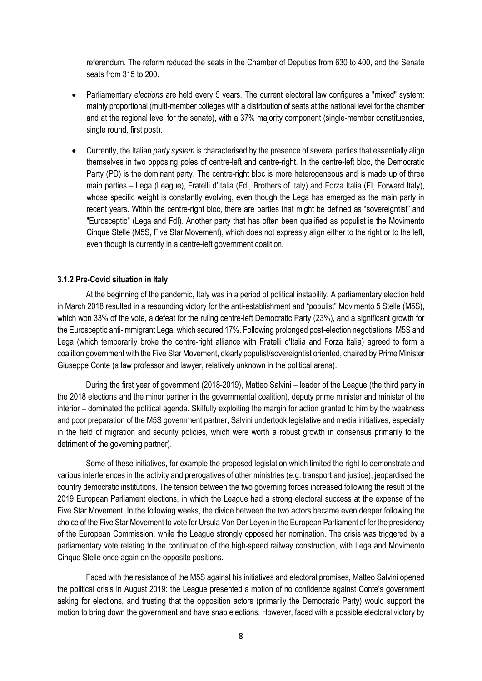referendum. The reform reduced the seats in the Chamber of Deputies from 630 to 400, and the Senate seats from 315 to 200.

- Parliamentary *elections* are held every 5 years. The current electoral law configures a "mixed" system: mainly proportional (multi-member colleges with a distribution of seats at the national level for the chamber and at the regional level for the senate), with a 37% majority component (single-member constituencies, single round, first post).
- Currently, the Italian *party system* is characterised by the presence of several parties that essentially align themselves in two opposing poles of centre-left and centre-right. In the centre-left bloc, the Democratic Party (PD) is the dominant party. The centre-right bloc is more heterogeneous and is made up of three main parties – Lega (League), Fratelli d'Italia (FdI, Brothers of Italy) and Forza Italia (FI, Forward Italy), whose specific weight is constantly evolving, even though the Lega has emerged as the main party in recent years. Within the centre-right bloc, there are parties that might be defined as "sovereigntist" and "Eurosceptic" (Lega and FdI). Another party that has often been qualified as populist is the Movimento Cinque Stelle (M5S, Five Star Movement), which does not expressly align either to the right or to the left, even though is currently in a centre-left government coalition.

### **3.1.2 Pre-Covid situation in Italy**

At the beginning of the pandemic, Italy was in a period of political instability. A parliamentary election held in March 2018 resulted in a resounding victory for the anti-establishment and "populist" Movimento 5 Stelle (M5S), which won 33% of the vote, a defeat for the ruling centre-left Democratic Party (23%), and a significant growth for the Eurosceptic anti-immigrant Lega, which secured 17%. Following prolonged post-election negotiations, M5S and Lega (which temporarily broke the centre-right alliance with Fratelli d'Italia and Forza Italia) agreed to form a coalition government with the Five Star Movement, clearly populist/sovereigntist oriented, chaired by Prime Minister Giuseppe Conte (a law professor and lawyer, relatively unknown in the political arena).

During the first year of government (2018-2019), Matteo Salvini – leader of the League (the third party in the 2018 elections and the minor partner in the governmental coalition), deputy prime minister and minister of the interior – dominated the political agenda. Skilfully exploiting the margin for action granted to him by the weakness and poor preparation of the M5S government partner, Salvini undertook legislative and media initiatives, especially in the field of migration and security policies, which were worth a robust growth in consensus primarily to the detriment of the governing partner).

Some of these initiatives, for example the proposed legislation which limited the right to demonstrate and various interferences in the activity and prerogatives of other ministries (e.g. transport and justice), jeopardised the country democratic institutions. The tension between the two governing forces increased following the result of the 2019 European Parliament elections, in which the League had a strong electoral success at the expense of the Five Star Movement. In the following weeks, the divide between the two actors became even deeper following the choice of the Five Star Movement to vote for Ursula Von Der Leyen in the European Parliament of for the presidency of the European Commission, while the League strongly opposed her nomination. The crisis was triggered by a parliamentary vote relating to the continuation of the high-speed railway construction, with Lega and Movimento Cinque Stelle once again on the opposite positions.

Faced with the resistance of the M5S against his initiatives and electoral promises, Matteo Salvini opened the political crisis in August 2019: the League presented a motion of no confidence against Conte's government asking for elections, and trusting that the opposition actors (primarily the Democratic Party) would support the motion to bring down the government and have snap elections. However, faced with a possible electoral victory by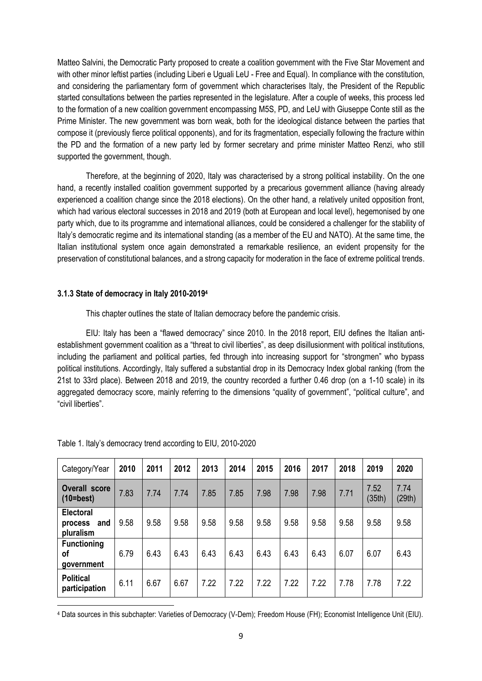Matteo Salvini, the Democratic Party proposed to create a coalition government with the Five Star Movement and with other minor leftist parties (including Liberi e Uguali LeU - Free and Equal). In compliance with the constitution, and considering the parliamentary form of government which characterises Italy, the President of the Republic started consultations between the parties represented in the legislature. After a couple of weeks, this process led to the formation of a new coalition government encompassing M5S, PD, and LeU with Giuseppe Conte still as the Prime Minister. The new government was born weak, both for the ideological distance between the parties that compose it (previously fierce political opponents), and for its fragmentation, especially following the fracture within the PD and the formation of a new party led by former secretary and prime minister Matteo Renzi, who still supported the government, though.

Therefore, at the beginning of 2020, Italy was characterised by a strong political instability. On the one hand, a recently installed coalition government supported by a precarious government alliance (having already experienced a coalition change since the 2018 elections). On the other hand, a relatively united opposition front, which had various electoral successes in 2018 and 2019 (both at European and local level), hegemonised by one party which, due to its programme and international alliances, could be considered a challenger for the stability of Italy's democratic regime and its international standing (as a member of the EU and NATO). At the same time, the Italian institutional system once again demonstrated a remarkable resilience, an evident propensity for the preservation of constitutional balances, and a strong capacity for moderation in the face of extreme political trends.

### **3.1.3 State of democracy in Italy 2010-2019<sup>4</sup>**

This chapter outlines the state of Italian democracy before the pandemic crisis.

EIU: Italy has been a "flawed democracy" since 2010. In the 2018 report, EIU defines the Italian antiestablishment government coalition as a "threat to civil liberties", as deep disillusionment with political institutions, including the parliament and political parties, fed through into increasing support for "strongmen" who bypass political institutions. Accordingly, Italy suffered a substantial drop in its Democracy Index global ranking (from the 21st to 33rd place). Between 2018 and 2019, the country recorded a further 0.46 drop (on a 1-10 scale) in its aggregated democracy score, mainly referring to the dimensions "quality of government", "political culture", and "civil liberties".

| Category/Year                                   | 2010 | 2011 | 2012 | 2013 | 2014 | 2015 | 2016 | 2017 | 2018 | 2019           | 2020           |
|-------------------------------------------------|------|------|------|------|------|------|------|------|------|----------------|----------------|
| <b>Overall score</b><br>$(10=best)$             | 7.83 | 7.74 | 7.74 | 7.85 | 7.85 | 7.98 | 7.98 | 7.98 | 7.71 | 7.52<br>(35th) | 7.74<br>(29th) |
| <b>Electoral</b><br>and<br>process<br>pluralism | 9.58 | 9.58 | 9.58 | 9.58 | 9.58 | 9.58 | 9.58 | 9.58 | 9.58 | 9.58           | 9.58           |
| <b>Functioning</b><br>οf<br>government          | 6.79 | 6.43 | 6.43 | 6.43 | 6.43 | 6.43 | 6.43 | 6.43 | 6.07 | 6.07           | 6.43           |
| <b>Political</b><br>participation               | 6.11 | 6.67 | 6.67 | 7.22 | 7.22 | 7.22 | 7.22 | 7.22 | 7.78 | 7.78           | 7.22           |

Table 1. Italy's democracy trend according to EIU, 2010-2020

l <sup>4</sup> Data sources in this subchapter: Varieties of Democracy (V-Dem); Freedom House (FH); Economist Intelligence Unit (EIU).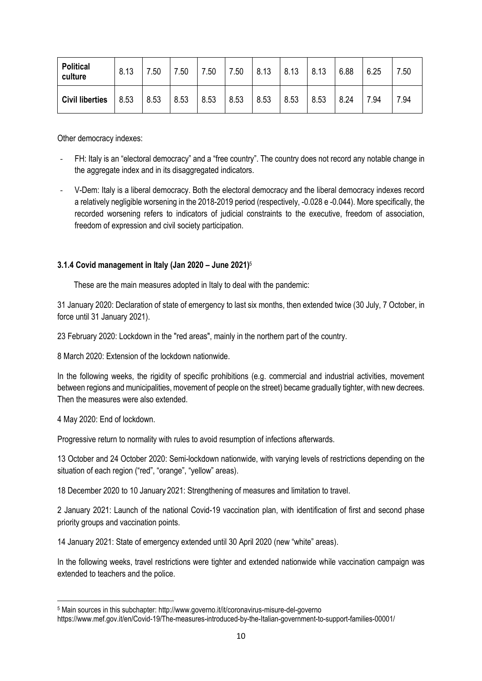| <b>Political</b><br>culture | 8.13 | .50  | 7.50 | 7.50 | 7.50 | 8.13 | 8.13 | 8.13 | 6.88 | 6.25 | 7.50 |
|-----------------------------|------|------|------|------|------|------|------|------|------|------|------|
| <b>Civil liberties</b>      | 8.53 | 8.53 | 8.53 | 8.53 | 8.53 | 8.53 | 8.53 | 8.53 | 8.24 | 7.94 | 7.94 |

Other democracy indexes:

- FH: Italy is an "electoral democracy" and a "free country". The country does not record any notable change in the aggregate index and in its disaggregated indicators.
- V-Dem: Italy is a liberal democracy. Both the electoral democracy and the liberal democracy indexes record a relatively negligible worsening in the 2018-2019 period (respectively, -0.028 e -0.044). More specifically, the recorded worsening refers to indicators of judicial constraints to the executive, freedom of association, freedom of expression and civil society participation.

### **3.1.4 Covid management in Italy (Jan 2020 – June 2021)** 5

These are the main measures adopted in Italy to deal with the pandemic:

31 January 2020: Declaration of state of emergency to last six months, then extended twice (30 July, 7 October, in force until 31 January 2021).

23 February 2020: Lockdown in the "red areas", mainly in the northern part of the country.

8 March 2020: Extension of the lockdown nationwide.

In the following weeks, the rigidity of specific prohibitions (e.g. commercial and industrial activities, movement between regions and municipalities, movement of people on the street) became gradually tighter, with new decrees. Then the measures were also extended.

4 May 2020: End of lockdown.

 $\overline{a}$ 

Progressive return to normality with rules to avoid resumption of infections afterwards.

13 October and 24 October 2020: Semi-lockdown nationwide, with varying levels of restrictions depending on the situation of each region ("red", "orange", "yellow" areas).

18 December 2020 to 10 January 2021: Strengthening of measures and limitation to travel.

2 January 2021: Launch of the national Covid-19 vaccination plan, with identification of first and second phase priority groups and vaccination points.

14 January 2021: State of emergency extended until 30 April 2020 (new "white" areas).

In the following weeks, travel restrictions were tighter and extended nationwide while vaccination campaign was extended to teachers and the police.

<sup>5</sup> Main sources in this subchapter: http://www.governo.it/it/coronavirus-misure-del-governo https://www.mef.gov.it/en/Covid-19/The-measures-introduced-by-the-Italian-government-to-support-families-00001/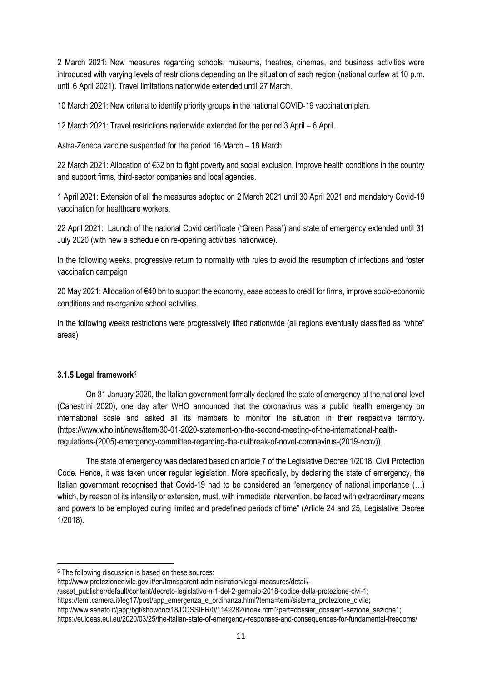2 March 2021: New measures regarding schools, museums, theatres, cinemas, and business activities were introduced with varying levels of restrictions depending on the situation of each region (national curfew at 10 p.m. until 6 April 2021). Travel limitations nationwide extended until 27 March.

10 March 2021: New criteria to identify priority groups in the national COVID-19 vaccination plan.

12 March 2021: Travel restrictions nationwide extended for the period 3 April – 6 April.

Astra-Zeneca vaccine suspended for the period 16 March – 18 March.

22 March 2021: Allocation of €32 bn to fight poverty and social exclusion, improve health conditions in the country and support firms, third-sector companies and local agencies.

1 April 2021: Extension of all the measures adopted on 2 March 2021 until 30 April 2021 and mandatory Covid-19 vaccination for healthcare workers.

22 April 2021: Launch of the national Covid certificate ("Green Pass") and state of emergency extended until 31 July 2020 (with new a schedule on re-opening activities nationwide).

In the following weeks, progressive return to normality with rules to avoid the resumption of infections and foster vaccination campaign

20 May 2021: Allocation of €40 bn to support the economy, ease access to credit for firms, improve socio-economic conditions and re-organize school activities.

In the following weeks restrictions were progressively lifted nationwide (all regions eventually classified as "white" areas)

### **3.1.5 Legal framework**<sup>6</sup>

l

On 31 January 2020, the Italian government formally declared the state of emergency at the national level (Canestrini 2020), one day after WHO announced that the coronavirus was a public health emergency on international scale and asked all its members to monitor the situation in their respective territory. (https://www.who.int/news/item/30-01-2020-statement-on-the-second-meeting-of-the-international-healthregulations-(2005)-emergency-committee-regarding-the-outbreak-of-novel-coronavirus-(2019-ncov)).

The state of emergency was declared based on article 7 of the Legislative Decree 1/2018, Civil Protection Code. Hence, it was taken under regular legislation. More specifically, by declaring the state of emergency, the Italian government recognised that Covid-19 had to be considered an "emergency of national importance (…) which, by reason of its intensity or extension, must, with immediate intervention, be faced with extraordinary means and powers to be employed during limited and predefined periods of time" (Article 24 and 25, Legislative Decree 1/2018).

<sup>6</sup> The following discussion is based on these sources:

http://www.protezionecivile.gov.it/en/transparent-administration/legal-measures/detail/-

<sup>/</sup>asset\_publisher/default/content/decreto-legislativo-n-1-del-2-gennaio-2018-codice-della-protezione-civi-1;

https://temi.camera.it/leg17/post/app\_emergenza\_e\_ordinanza.html?tema=temi/sistema\_protezione\_civile;

http://www.senato.it/japp/bgt/showdoc/18/DOSSIER/0/1149282/index.html?part=dossier\_dossier1-sezione\_sezione1; https://euideas.eui.eu/2020/03/25/the-italian-state-of-emergency-responses-and-consequences-for-fundamental-freedoms/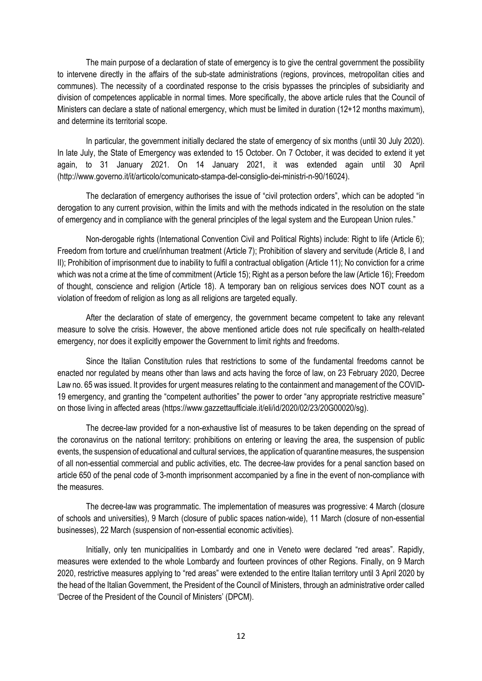The main purpose of a declaration of state of emergency is to give the central government the possibility to intervene directly in the affairs of the sub-state administrations (regions, provinces, metropolitan cities and communes). The necessity of a coordinated response to the crisis bypasses the principles of subsidiarity and division of competences applicable in normal times. More specifically, the above article rules that the Council of Ministers can declare a state of national emergency, which must be limited in duration (12+12 months maximum), and determine its territorial scope.

In particular, the government initially declared the state of emergency of six months (until 30 July 2020). In late July, the State of Emergency was extended to 15 October. On 7 October, it was decided to extend it yet again, to 31 January 2021. On 14 January 2021, it was extended again until 30 April (http://www.governo.it/it/articolo/comunicato-stampa-del-consiglio-dei-ministri-n-90/16024).

The declaration of emergency authorises the issue of "civil protection orders", which can be adopted "in derogation to any current provision, within the limits and with the methods indicated in the resolution on the state of emergency and in compliance with the general principles of the legal system and the European Union rules."

Non-derogable rights (International Convention Civil and Political Rights) include: Right to life (Article 6); Freedom from torture and cruel/inhuman treatment (Article 7); Prohibition of slavery and servitude (Article 8, I and II); Prohibition of imprisonment due to inability to fulfil a contractual obligation (Article 11); No conviction for a crime which was not a crime at the time of commitment (Article 15); Right as a person before the law (Article 16); Freedom of thought, conscience and religion (Article 18). A temporary ban on religious services does NOT count as a violation of freedom of religion as long as all religions are targeted equally.

After the declaration of state of emergency, the government became competent to take any relevant measure to solve the crisis. However, the above mentioned article does not rule specifically on health-related emergency, nor does it explicitly empower the Government to limit rights and freedoms.

Since the Italian Constitution rules that restrictions to some of the fundamental freedoms cannot be enacted nor regulated by means other than laws and acts having the force of law, on 23 February 2020, Decree Law no. 65 was issued. It provides for urgent measures relating to the containment and management of the COVID-19 emergency, and granting the "competent authorities" the power to order "any appropriate restrictive measure" on those living in affected areas (https://www.gazzettaufficiale.it/eli/id/2020/02/23/20G00020/sg).

The decree-law provided for a non-exhaustive list of measures to be taken depending on the spread of the coronavirus on the national territory: prohibitions on entering or leaving the area, the suspension of public events, the suspension of educational and cultural services, the application of quarantine measures, the suspension of all non-essential commercial and public activities, etc. The decree-law provides for a penal sanction based on article 650 of the penal code of 3-month imprisonment accompanied by a fine in the event of non-compliance with the measures.

The decree-law was programmatic. The implementation of measures was progressive: 4 March (closure of schools and universities), 9 March (closure of public spaces nation-wide), 11 March (closure of non-essential businesses), 22 March (suspension of non-essential economic activities).

Initially, only ten municipalities in Lombardy and one in Veneto were declared "red areas". Rapidly, measures were extended to the whole Lombardy and fourteen provinces of other Regions. Finally, on 9 March 2020, restrictive measures applying to "red areas" were extended to the entire Italian territory until 3 April 2020 by the head of the Italian Government, the President of the Council of Ministers, through an administrative order called 'Decree of the President of the Council of Ministers' (DPCM).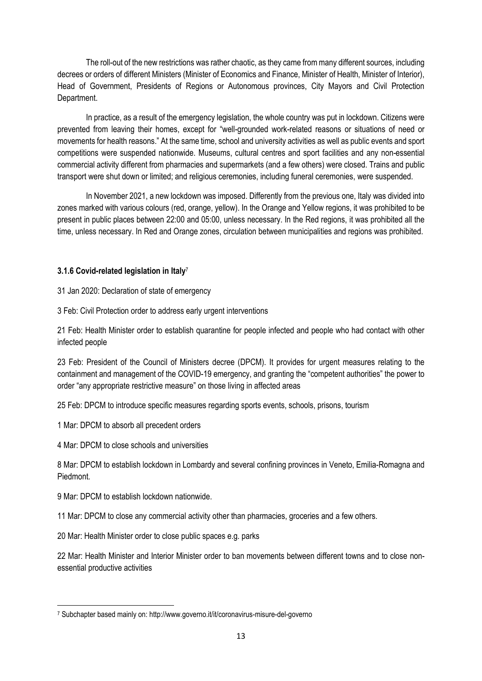The roll-out of the new restrictions was rather chaotic, as they came from many different sources, including decrees or orders of different Ministers (Minister of Economics and Finance, Minister of Health, Minister of Interior), Head of Government, Presidents of Regions or Autonomous provinces, City Mayors and Civil Protection Department.

In practice, as a result of the emergency legislation, the whole country was put in lockdown. Citizens were prevented from leaving their homes, except for "well-grounded work-related reasons or situations of need or movements for health reasons." At the same time, school and university activities as well as public events and sport competitions were suspended nationwide. Museums, cultural centres and sport facilities and any non-essential commercial activity different from pharmacies and supermarkets (and a few others) were closed. Trains and public transport were shut down or limited; and religious ceremonies, including funeral ceremonies, were suspended.

In November 2021, a new lockdown was imposed. Differently from the previous one, Italy was divided into zones marked with various colours (red, orange, yellow). In the Orange and Yellow regions, it was prohibited to be present in public places between 22:00 and 05:00, unless necessary. In the Red regions, it was prohibited all the time, unless necessary. In Red and Orange zones, circulation between municipalities and regions was prohibited.

### **3.1.6 Covid-related legislation in Italy**<sup>7</sup>

31 Jan 2020: Declaration of state of emergency

3 Feb: Civil Protection order to address early urgent interventions

21 Feb: Health Minister order to establish quarantine for people infected and people who had contact with other infected people

23 Feb: President of the Council of Ministers decree (DPCM). It provides for urgent measures relating to the containment and management of the COVID-19 emergency, and granting the "competent authorities" the power to order "any appropriate restrictive measure" on those living in affected areas

25 Feb: DPCM to introduce specific measures regarding sports events, schools, prisons, tourism

1 Mar: DPCM to absorb all precedent orders

4 Mar: DPCM to close schools and universities

8 Mar: DPCM to establish lockdown in Lombardy and several confining provinces in Veneto, Emilia-Romagna and Piedmont.

9 Mar: DPCM to establish lockdown nationwide.

l

11 Mar: DPCM to close any commercial activity other than pharmacies, groceries and a few others.

20 Mar: Health Minister order to close public spaces e.g. parks

22 Mar: Health Minister and Interior Minister order to ban movements between different towns and to close nonessential productive activities

<sup>7</sup> Subchapter based mainly on: http://www.governo.it/it/coronavirus-misure-del-governo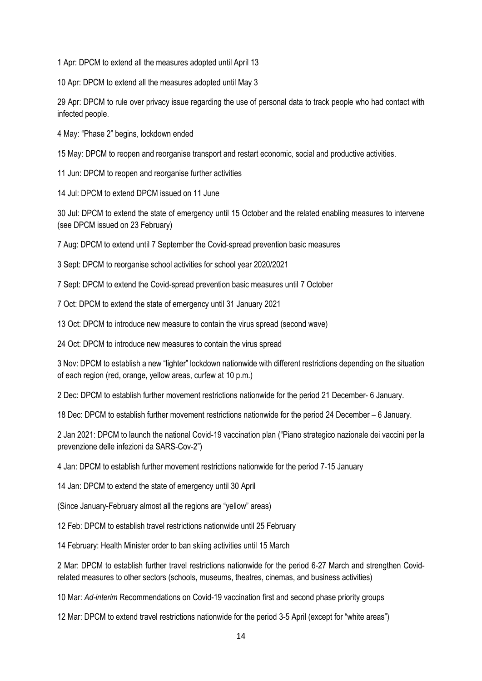1 Apr: DPCM to extend all the measures adopted until April 13

10 Apr: DPCM to extend all the measures adopted until May 3

29 Apr: DPCM to rule over privacy issue regarding the use of personal data to track people who had contact with infected people.

4 May: "Phase 2" begins, lockdown ended

15 May: DPCM to reopen and reorganise transport and restart economic, social and productive activities.

11 Jun: DPCM to reopen and reorganise further activities

14 Jul: DPCM to extend DPCM issued on 11 June

30 Jul: DPCM to extend the state of emergency until 15 October and the related enabling measures to intervene (see DPCM issued on 23 February)

7 Aug: DPCM to extend until 7 September the Covid-spread prevention basic measures

3 Sept: DPCM to reorganise school activities for school year 2020/2021

7 Sept: DPCM to extend the Covid-spread prevention basic measures until 7 October

7 Oct: DPCM to extend the state of emergency until 31 January 2021

13 Oct: DPCM to introduce new measure to contain the virus spread (second wave)

24 Oct: DPCM to introduce new measures to contain the virus spread

3 Nov: DPCM to establish a new "lighter" lockdown nationwide with different restrictions depending on the situation of each region (red, orange, yellow areas, curfew at 10 p.m.)

2 Dec: DPCM to establish further movement restrictions nationwide for the period 21 December- 6 January.

18 Dec: DPCM to establish further movement restrictions nationwide for the period 24 December – 6 January.

2 Jan 2021: DPCM to launch the national Covid-19 vaccination plan ("Piano strategico nazionale dei vaccini per la prevenzione delle infezioni da SARS-Cov-2")

4 Jan: DPCM to establish further movement restrictions nationwide for the period 7-15 January

14 Jan: DPCM to extend the state of emergency until 30 April

(Since January-February almost all the regions are "yellow" areas)

12 Feb: DPCM to establish travel restrictions nationwide until 25 February

14 February: Health Minister order to ban skiing activities until 15 March

2 Mar: DPCM to establish further travel restrictions nationwide for the period 6-27 March and strengthen Covidrelated measures to other sectors (schools, museums, theatres, cinemas, and business activities)

10 Mar: *Ad-interim* Recommendations on Covid-19 vaccination first and second phase priority groups

12 Mar: DPCM to extend travel restrictions nationwide for the period 3-5 April (except for "white areas")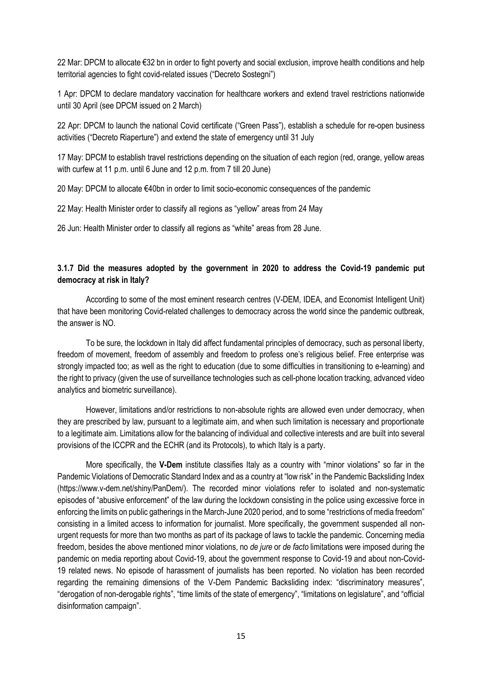22 Mar: DPCM to allocate €32 bn in order to fight poverty and social exclusion, improve health conditions and help territorial agencies to fight covid-related issues ("Decreto Sostegni")

1 Apr: DPCM to declare mandatory vaccination for healthcare workers and extend travel restrictions nationwide until 30 April (see DPCM issued on 2 March)

22 Apr: DPCM to launch the national Covid certificate ("Green Pass"), establish a schedule for re-open business activities ("Decreto Riaperture") and extend the state of emergency until 31 July

17 May: DPCM to establish travel restrictions depending on the situation of each region (red, orange, yellow areas with curfew at 11 p.m. until 6 June and 12 p.m. from 7 till 20 June)

20 May: DPCM to allocate €40bn in order to limit socio-economic consequences of the pandemic

22 May: Health Minister order to classify all regions as "yellow" areas from 24 May

26 Jun: Health Minister order to classify all regions as "white" areas from 28 June.

# **3.1.7 Did the measures adopted by the government in 2020 to address the Covid-19 pandemic put democracy at risk in Italy?**

According to some of the most eminent research centres (V-DEM, IDEA, and Economist Intelligent Unit) that have been monitoring Covid-related challenges to democracy across the world since the pandemic outbreak, the answer is NO.

To be sure, the lockdown in Italy did affect fundamental principles of democracy, such as personal liberty, freedom of movement, freedom of assembly and freedom to profess one's religious belief. Free enterprise was strongly impacted too; as well as the right to education (due to some difficulties in transitioning to e-learning) and the right to privacy (given the use of surveillance technologies such as cell-phone location tracking, advanced video analytics and biometric surveillance).

However, limitations and/or restrictions to non-absolute rights are allowed even under democracy, when they are prescribed by law, pursuant to a legitimate aim, and when such limitation is necessary and proportionate to a legitimate aim. Limitations allow for the balancing of individual and collective interests and are built into several provisions of the ICCPR and the ECHR (and its Protocols), to which Italy is a party.

More specifically, the **V-Dem** institute classifies Italy as a country with "minor violations" so far in the Pandemic Violations of Democratic Standard Index and as a country at "low risk" in the Pandemic Backsliding Index (https://www.v-dem.net/shiny/PanDem/). The recorded minor violations refer to isolated and non-systematic episodes of "abusive enforcement" of the law during the lockdown consisting in the police using excessive force in enforcing the limits on public gatherings in the March-June 2020 period, and to some "restrictions of media freedom" consisting in a limited access to information for journalist. More specifically, the government suspended all nonurgent requests for more than two months as part of its package of laws to tackle the pandemic. Concerning media freedom, besides the above mentioned minor violations, no *de jure* or *de facto* limitations were imposed during the pandemic on media reporting about Covid-19, about the government response to Covid-19 and about non-Covid-19 related news. No episode of harassment of journalists has been reported. No violation has been recorded regarding the remaining dimensions of the V-Dem Pandemic Backsliding index: "discriminatory measures", "derogation of non-derogable rights", "time limits of the state of emergency", "limitations on legislature", and "official disinformation campaign".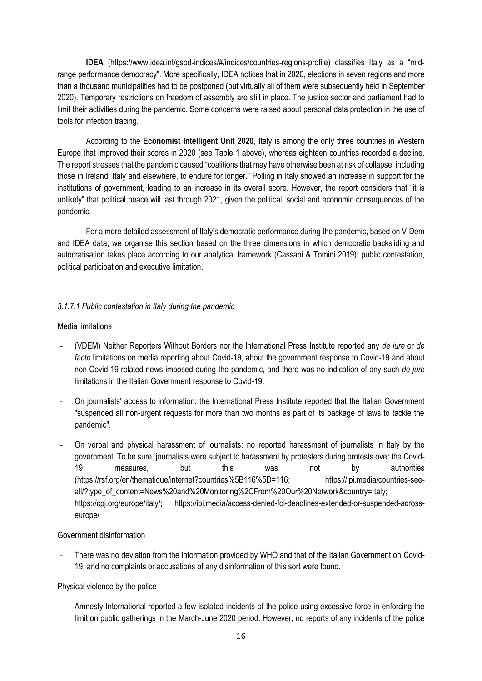**IDEA** (https://www.idea.int/gsod-indices/#/indices/countries-regions-profile) classifies Italy as a "midrange performance democracy". More specifically, IDEA notices that in 2020, elections in seven regions and more than a thousand municipalities had to be postponed (but virtually all of them were subsequently held in September 2020). Temporary restrictions on freedom of assembly are still in place. The justice sector and parliament had to limit their activities during the pandemic. Some concerns were raised about personal data protection in the use of tools for infection tracing.

According to the **Economist Intelligent Unit 2020**, Italy is among the only three countries in Western Europe that improved their scores in 2020 (see Table 1 above), whereas eighteen countries recorded a decline. The report stresses that the pandemic caused "coalitions that may have otherwise been at risk of collapse, including those in Ireland, Italy and elsewhere, to endure for longer." Polling in Italy showed an increase in support for the institutions of government, leading to an increase in its overall score. However, the report considers that "it is unlikely" that political peace will last through 2021, given the political, social and economic consequences of the pandemic.

For a more detailed assessment of Italy's democratic performance during the pandemic, based on V-Dem and IDEA data, we organise this section based on the three dimensions in which democratic backsliding and autocratisation takes place according to our analytical framework (Cassani & Tomini 2019): public contestation, political participation and executive limitation.

### *3.1.7.1 Public contestation in Italy during the pandemic*

### Media limitations

- (VDEM) Neither Reporters Without Borders nor the International Press Institute reported any *de jure* or *de facto* limitations on media reporting about Covid-19, about the government response to Covid-19 and about non-Covid-19-related news imposed during the pandemic, and there was no indication of any such *de jure* limitations in the Italian Government response to Covid-19.
- On journalists' access to information: the International Press Institute reported that the Italian Government "suspended all non-urgent requests for more than two months as part of its package of laws to tackle the pandemic".
- On verbal and physical harassment of journalists: no reported harassment of journalists in Italy by the government. To be sure, journalists were subject to harassment by protesters during protests over the Covid-19 measures, but this was not by authorities (https://rsf.org/en/thematique/internet?countries%5B116%5D=116; https://ipi.media/countries-seeall/?type\_of\_content=News%20and%20Monitoring%2CFrom%20Our%20Network&country=Italy; https://cpj.org/europe/italy/; https://ipi.media/access-denied-foi-deadlines-extended-or-suspended-acrosseurope/

### Government disinformation

There was no deviation from the information provided by WHO and that of the Italian Government on Covid-19, and no complaints or accusations of any disinformation of this sort were found.

### Physical violence by the police

- Amnesty International reported a few isolated incidents of the police using excessive force in enforcing the limit on public gatherings in the March-June 2020 period. However, no reports of any incidents of the police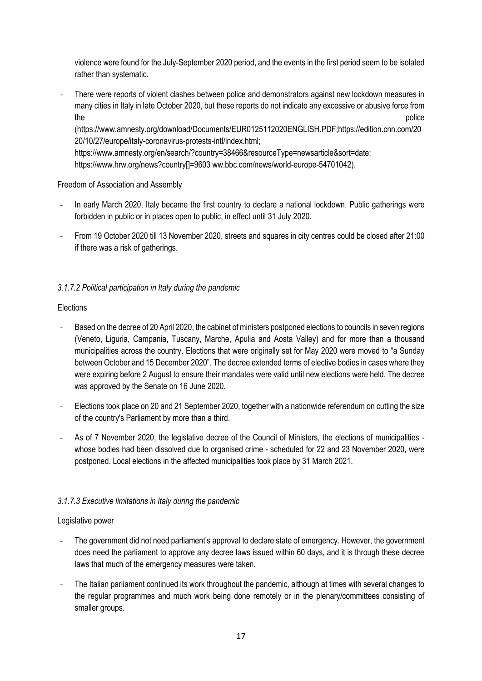violence were found for the July-September 2020 period, and the events in the first period seem to be isolated rather than systematic.

There were reports of violent clashes between police and demonstrators against new lockdown measures in many cities in Italy in late October 2020, but these reports do not indicate any excessive or abusive force from the police  $\sim$  police  $\sim$ 

(https://www.amnesty.org/download/Documents/EUR0125112020ENGLISH.PDF;https://edition.cnn.com/20 20/10/27/europe/italy-coronavirus-protests-intl/index.html;

https://www.amnesty.org/en/search/?country=38466&resourceType=newsarticle&sort=date;

https://www.hrw.org/news?country[]=9603 ww.bbc.com/news/world-europe-54701042).

# Freedom of Association and Assembly

- In early March 2020, Italy became the first country to declare a national lockdown. Public gatherings were forbidden in public or in places open to public, in effect until 31 July 2020.
- From 19 October 2020 till 13 November 2020, streets and squares in city centres could be closed after 21:00 if there was a risk of gatherings.

# *3.1.7.2 Political participation in Italy during the pandemic*

# Elections

- Based on the decree of 20 April 2020, the cabinet of ministers postponed elections to councils in seven regions (Veneto, Liguria, Campania, Tuscany, Marche, Apulia and Aosta Valley) and for more than a thousand municipalities across the country. Elections that were originally set for May 2020 were moved to "a Sunday between October and 15 December 2020". The decree extended terms of elective bodies in cases where they were expiring before 2 August to ensure their mandates were valid until new elections were held. The decree was approved by the Senate on 16 June 2020.
- Elections took place on 20 and 21 September 2020, together with a nationwide referendum on cutting the size of the country's Parliament by more than a third.
- As of 7 November 2020, the legislative decree of the Council of Ministers, the elections of municipalities whose bodies had been dissolved due to organised crime - scheduled for 22 and 23 November 2020, were postponed. Local elections in the affected municipalities took place by 31 March 2021.

# *3.1.7.3 Executive limitations in Italy during the pandemic*

# Legislative power

- The government did not need parliament's approval to declare state of emergency. However, the government does need the parliament to approve any decree laws issued within 60 days, and it is through these decree laws that much of the emergency measures were taken.
- The Italian parliament continued its work throughout the pandemic, although at times with several changes to the regular programmes and much work being done remotely or in the plenary/committees consisting of smaller groups.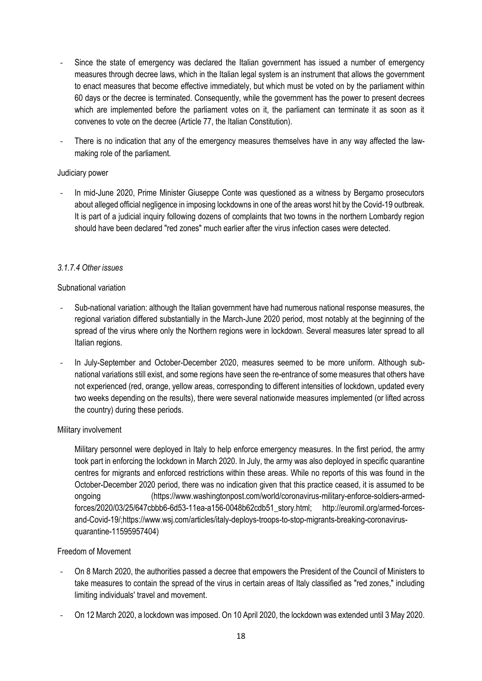- Since the state of emergency was declared the Italian government has issued a number of emergency measures through decree laws, which in the Italian legal system is an instrument that allows the government to enact measures that become effective immediately, but which must be voted on by the parliament within 60 days or the decree is terminated. Consequently, while the government has the power to present decrees which are implemented before the parliament votes on it, the parliament can terminate it as soon as it convenes to vote on the decree (Article 77, the Italian Constitution).
- There is no indication that any of the emergency measures themselves have in any way affected the lawmaking role of the parliament.

### Judiciary power

- In mid-June 2020, Prime Minister Giuseppe Conte was questioned as a witness by Bergamo prosecutors about alleged official negligence in imposing lockdowns in one of the areas worst hit by the Covid-19 outbreak. It is part of a judicial inquiry following dozens of complaints that two towns in the northern Lombardy region should have been declared "red zones" much earlier after the virus infection cases were detected.

### *3.1.7.4 Other issues*

### Subnational variation

- Sub-national variation: although the Italian government have had numerous national response measures, the regional variation differed substantially in the March-June 2020 period, most notably at the beginning of the spread of the virus where only the Northern regions were in lockdown. Several measures later spread to all Italian regions.
- In July-September and October-December 2020, measures seemed to be more uniform. Although subnational variations still exist, and some regions have seen the re-entrance of some measures that others have not experienced (red, orange, yellow areas, corresponding to different intensities of lockdown, updated every two weeks depending on the results), there were several nationwide measures implemented (or lifted across the country) during these periods.

### Military involvement

Military personnel were deployed in Italy to help enforce emergency measures. In the first period, the army took part in enforcing the lockdown in March 2020. In July, the army was also deployed in specific quarantine centres for migrants and enforced restrictions within these areas. While no reports of this was found in the October-December 2020 period, there was no indication given that this practice ceased, it is assumed to be ongoing (https://www.washingtonpost.com/world/coronavirus-military-enforce-soldiers-armedforces/2020/03/25/647cbbb6-6d53-11ea-a156-0048b62cdb51\_story.html; http://euromil.org/armed-forcesand-Covid-19/;https://www.wsj.com/articles/italy-deploys-troops-to-stop-migrants-breaking-coronavirusquarantine-11595957404)

### Freedom of Movement

- On 8 March 2020, the authorities passed a decree that empowers the President of the Council of Ministers to take measures to contain the spread of the virus in certain areas of Italy classified as "red zones," including limiting individuals' travel and movement.
- On 12 March 2020, a lockdown was imposed. On 10 April 2020, the lockdown was extended until 3 May 2020.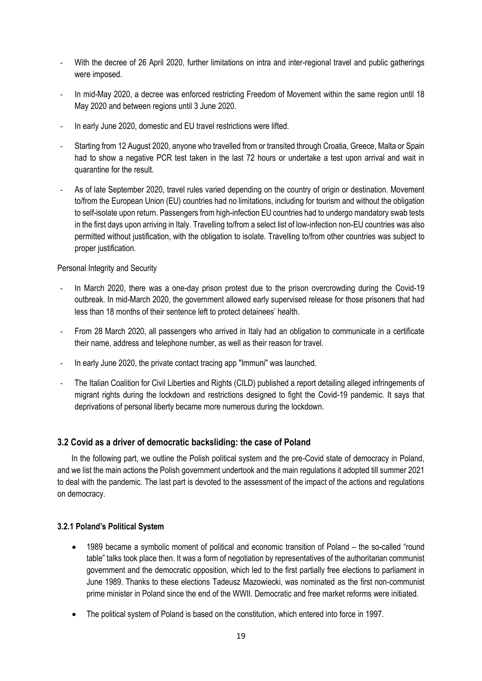- With the decree of 26 April 2020, further limitations on intra and inter-regional travel and public gatherings were imposed.
- In mid-May 2020, a decree was enforced restricting Freedom of Movement within the same region until 18 May 2020 and between regions until 3 June 2020.
- In early June 2020, domestic and EU travel restrictions were lifted.
- Starting from 12 August 2020, anyone who travelled from or transited through Croatia, Greece, Malta or Spain had to show a negative PCR test taken in the last 72 hours or undertake a test upon arrival and wait in quarantine for the result.
- As of late September 2020, travel rules varied depending on the country of origin or destination. Movement to/from the European Union (EU) countries had no limitations, including for tourism and without the obligation to self-isolate upon return. Passengers from high-infection EU countries had to undergo mandatory swab tests in the first days upon arriving in Italy. Travelling to/from a select list of low-infection non-EU countries was also permitted without justification, with the obligation to isolate. Travelling to/from other countries was subject to proper justification.

### Personal Integrity and Security

- In March 2020, there was a one-day prison protest due to the prison overcrowding during the Covid-19 outbreak. In mid-March 2020, the government allowed early supervised release for those prisoners that had less than 18 months of their sentence left to protect detainees' health.
- From 28 March 2020, all passengers who arrived in Italy had an obligation to communicate in a certificate their name, address and telephone number, as well as their reason for travel.
- In early June 2020, the private contact tracing app "Immuni" was launched.
- The Italian Coalition for Civil Liberties and Rights (CILD) published a report detailing alleged infringements of migrant rights during the lockdown and restrictions designed to fight the Covid-19 pandemic. It says that deprivations of personal liberty became more numerous during the lockdown.

# **3.2 Covid as a driver of democratic backsliding: the case of Poland**

In the following part, we outline the Polish political system and the pre-Covid state of democracy in Poland, and we list the main actions the Polish government undertook and the main regulations it adopted till summer 2021 to deal with the pandemic. The last part is devoted to the assessment of the impact of the actions and regulations on democracy.

### **3.2.1 Poland's Political System**

- 1989 became a symbolic moment of political and economic transition of Poland the so-called "round table" talks took place then. It was a form of negotiation by representatives of the authoritarian communist government and the democratic opposition, which led to the first partially free elections to parliament in June 1989. Thanks to these elections Tadeusz Mazowiecki, was nominated as the first non-communist prime minister in Poland since the end of the WWII. Democratic and free market reforms were initiated.
- The political system of Poland is based on the constitution, which entered into force in 1997.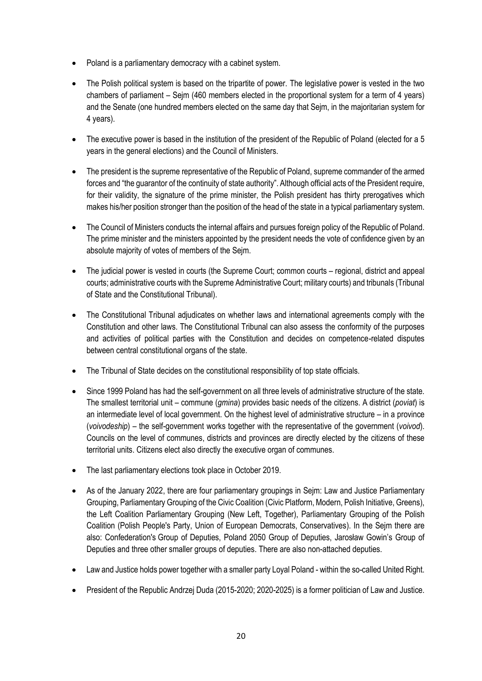- Poland is a parliamentary democracy with a cabinet system.
- The Polish political system is based on the tripartite of power. The legislative power is vested in the two chambers of parliament – Sejm (460 members elected in the proportional system for a term of 4 years) and the Senate (one hundred members elected on the same day that Sejm, in the majoritarian system for 4 years).
- The executive power is based in the institution of the president of the Republic of Poland (elected for a 5 years in the general elections) and the Council of Ministers.
- The president is the supreme representative of the Republic of Poland, supreme commander of the armed forces and "the guarantor of the continuity of state authority". Although official acts of the President require, for their validity, the signature of the prime minister, the Polish president has thirty prerogatives which makes his/her position stronger than the position of the head of the state in a typical parliamentary system.
- The Council of Ministers conducts the internal affairs and pursues foreign policy of the Republic of Poland. The prime minister and the ministers appointed by the president needs the vote of confidence given by an absolute majority of votes of members of the Sejm.
- The judicial power is vested in courts (the Supreme Court; common courts regional, district and appeal courts; administrative courts with the Supreme Administrative Court; military courts) and tribunals (Tribunal of State and the Constitutional Tribunal).
- The Constitutional Tribunal adjudicates on whether laws and international agreements comply with the Constitution and other laws. The Constitutional Tribunal can also assess the conformity of the purposes and activities of political parties with the Constitution and decides on competence-related disputes between central constitutional organs of the state.
- The Tribunal of State decides on the constitutional responsibility of top state officials.
- Since 1999 Poland has had the self-government on all three levels of administrative structure of the state. The smallest territorial unit – commune (*gmina*) provides basic needs of the citizens. A district (*poviat*) is an intermediate level of local government. On the highest level of administrative structure – in a province (*voivodeship*) – the self-government works together with the representative of the government (*voivod*). Councils on the level of communes, districts and provinces are directly elected by the citizens of these territorial units. Citizens elect also directly the executive organ of communes.
- The last parliamentary elections took place in October 2019.
- As of the January 2022, there are four parliamentary groupings in Sejm: Law and Justice Parliamentary Grouping, Parliamentary Grouping of the Civic Coalition (Civic Platform, Modern, Polish Initiative, Greens), the Left Coalition Parliamentary Grouping (New Left, Together), Parliamentary Grouping of the Polish Coalition (Polish People's Party, Union of European Democrats, Conservatives). In the Sejm there are also: Confederation's Group of Deputies, Poland 2050 Group of Deputies, Jarosław Gowin's Group of Deputies and three other smaller groups of deputies. There are also non-attached deputies.
- Law and Justice holds power together with a smaller party Loyal Poland within the so-called United Right.
- President of the Republic Andrzej Duda (2015-2020; 2020-2025) is a former politician of Law and Justice.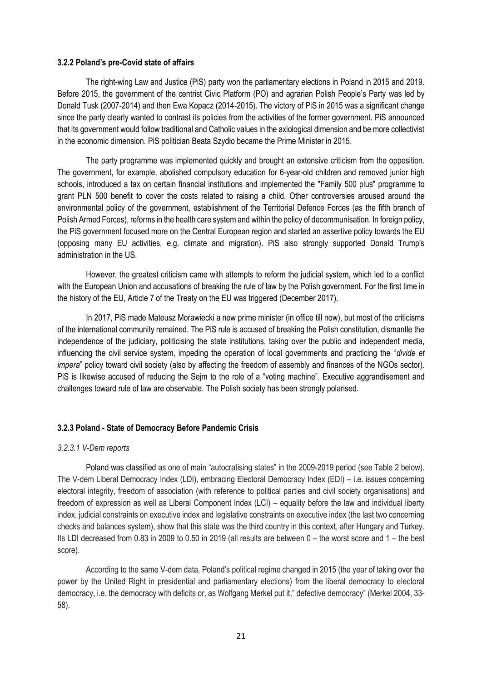#### **3.2.2 Poland's pre-Covid state of affairs**

The right-wing Law and Justice (PiS) party won the parliamentary elections in Poland in 2015 and 2019. Before 2015, the government of the centrist Civic Platform (PO) and agrarian Polish People's Party was led by Donald Tusk (2007-2014) and then Ewa Kopacz (2014-2015). The victory of PiS in 2015 was a significant change since the party clearly wanted to contrast its policies from the activities of the former government. PiS announced that its government would follow traditional and Catholic values in the axiological dimension and be more collectivist in the economic dimension. PiS politician Beata Szydło became the Prime Minister in 2015.

The party programme was implemented quickly and brought an extensive criticism from the opposition. The government, for example, abolished compulsory education for 6-year-old children and removed junior high schools, introduced a tax on certain financial institutions and implemented the "Family 500 plus" programme to grant PLN 500 benefit to cover the costs related to raising a child. Other controversies aroused around the environmental policy of the government, establishment of the Territorial Defence Forces (as the fifth branch of Polish Armed Forces), reforms in the health care system and within the policy of decommunisation. In foreign policy, the PiS government focused more on the Central European region and started an assertive policy towards the EU (opposing many EU activities, e.g. climate and migration). PiS also strongly supported Donald Trump's administration in the US.

However, the greatest criticism came with attempts to reform the judicial system, which led to a conflict with the European Union and accusations of breaking the rule of law by the Polish government. For the first time in the history of the EU, Article 7 of the Treaty on the EU was triggered (December 2017).

In 2017, PiS made Mateusz Morawiecki a new prime minister (in office till now), but most of the criticisms of the international community remained. The PiS rule is accused of breaking the Polish constitution, dismantle the independence of the judiciary, politicising the state institutions, taking over the public and independent media, influencing the civil service system, impeding the operation of local governments and practicing the "*divide et impera*" policy toward civil society (also by affecting the freedom of assembly and finances of the NGOs sector). PiS is likewise accused of reducing the Sejm to the role of a "voting machine". Executive aggrandisement and challenges toward rule of law are observable. The Polish society has been strongly polarised.

### **3.2.3 Poland - State of Democracy Before Pandemic Crisis**

#### *3.2.3.1 V-Dem reports*

Poland was classified as one of main "autocratising states" in the 2009-2019 period (see Table 2 below). The V-dem Liberal Democracy Index (LDI), embracing Electoral Democracy Index (EDI) – i.e. issues concerning electoral integrity, freedom of association (with reference to political parties and civil society organisations) and freedom of expression as well as Liberal Component Index (LCI) – equality before the law and individual liberty index, judicial constraints on executive index and legislative constraints on executive index (the last two concerning checks and balances system), show that this state was the third country in this context, after Hungary and Turkey. Its LDI decreased from 0.83 in 2009 to 0.50 in 2019 (all results are between 0 – the worst score and 1 – the best score).

According to the same V-dem data, Poland's political regime changed in 2015 (the year of taking over the power by the United Right in presidential and parliamentary elections) from the liberal democracy to electoral democracy, i.e. the democracy with deficits or, as Wolfgang Merkel put it," defective democracy" (Merkel 2004, 33- 58).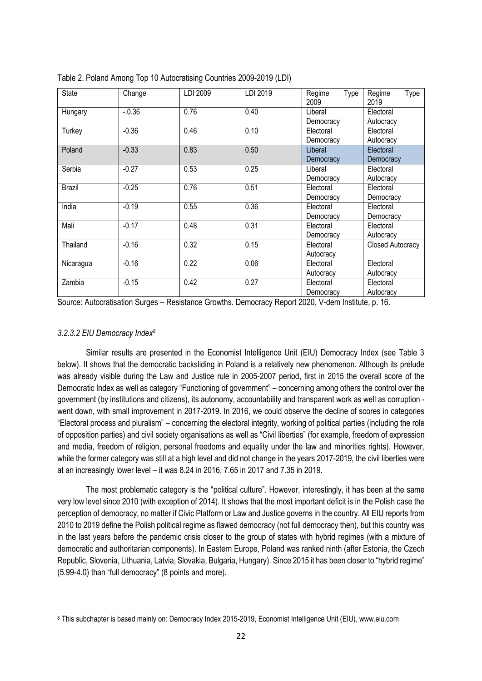| <b>State</b>  | Change  | LDI 2009 | LDI 2019 | Regime<br>Type<br>2009 | Regime<br>Type<br>2019 |
|---------------|---------|----------|----------|------------------------|------------------------|
| Hungary       | $-0.36$ | 0.76     | 0.40     | Liberal                | Electoral              |
|               |         |          |          | Democracy              | Autocracy              |
| Turkey        | $-0.36$ | 0.46     | 0.10     | Electoral              | Electoral              |
|               |         |          |          | Democracy              | Autocracy              |
| Poland        | $-0.33$ | 0.83     | 0.50     | Liberal                | Electoral              |
|               |         |          |          | Democracy              | Democracy              |
| Serbia        | $-0.27$ | 0.53     | 0.25     | Liberal                | Electoral              |
|               |         |          |          | Democracy              | Autocracy              |
| <b>Brazil</b> | $-0.25$ | 0.76     | 0.51     | Electoral              | Electoral              |
|               |         |          |          | Democracy              | Democracy              |
| India         | $-0.19$ | 0.55     | 0.36     | Electoral              | Electoral              |
|               |         |          |          | Democracy              | Democracy              |
| Mali          | $-0.17$ | 0.48     | 0.31     | Electoral              | Electoral              |
|               |         |          |          | Democracy              | Autocracy              |
| Thailand      | $-0.16$ | 0.32     | 0.15     | Electoral              | Closed Autocracy       |
|               |         |          |          | Autocracy              |                        |
| Nicaragua     | $-0.16$ | 0.22     | 0.06     | Electoral              | Electoral              |
|               |         |          |          | Autocracy              | Autocracy              |
| Zambia        | $-0.15$ | 0.42     | 0.27     | Electoral              | Electoral              |
|               |         |          |          | Democracy              | Autocracy              |

Table 2. Poland Among Top 10 Autocratising Countries 2009-2019 (LDI)

Source: Autocratisation Surges – Resistance Growths. Democracy Report 2020, V-dem Institute, p. 16.

### *3.2.3.2 EIU Democracy Index<sup>8</sup>*

 $\overline{\phantom{a}}$ 

Similar results are presented in the Economist Intelligence Unit (EIU) Democracy Index (see Table 3 below). It shows that the democratic backsliding in Poland is a relatively new phenomenon. Although its prelude was already visible during the Law and Justice rule in 2005-2007 period, first in 2015 the overall score of the Democratic Index as well as category "Functioning of government" – concerning among others the control over the government (by institutions and citizens), its autonomy, accountability and transparent work as well as corruption went down, with small improvement in 2017-2019. In 2016, we could observe the decline of scores in categories "Electoral process and pluralism" – concerning the electoral integrity, working of political parties (including the role of opposition parties) and civil society organisations as well as "Civil liberties" (for example, freedom of expression and media, freedom of religion, personal freedoms and equality under the law and minorities rights). However, while the former category was still at a high level and did not change in the years 2017-2019, the civil liberties were at an increasingly lower level – it was 8.24 in 2016, 7.65 in 2017 and 7.35 in 2019.

The most problematic category is the "political culture". However, interestingly, it has been at the same very low level since 2010 (with exception of 2014). It shows that the most important deficit is in the Polish case the perception of democracy, no matter if Civic Platform or Law and Justice governs in the country. All EIU reports from 2010 to 2019 define the Polish political regime as flawed democracy (not full democracy then), but this country was in the last years before the pandemic crisis closer to the group of states with hybrid regimes (with a mixture of democratic and authoritarian components). In Eastern Europe, Poland was ranked ninth (after Estonia, the Czech Republic, Slovenia, Lithuania, Latvia, Slovakia, Bulgaria, Hungary). Since 2015 it has been closer to "hybrid regime" (5.99-4.0) than "full democracy" (8 points and more).

<sup>8</sup> This subchapter is based mainly on: Democracy Index 2015-2019, Economist Intelligence Unit (EIU), www.eiu.com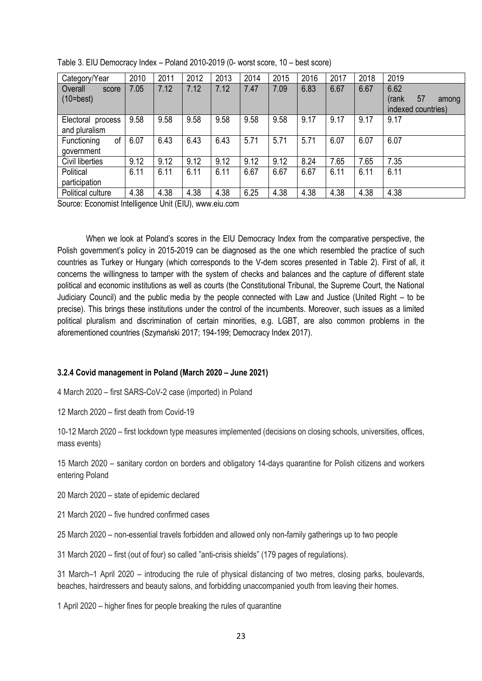| Category/Year                      | 2010 | 2011 | 2012 | 2013 | 2014 | 2015 | 2016 | 2017 | 2018 | 2019                                               |
|------------------------------------|------|------|------|------|------|------|------|------|------|----------------------------------------------------|
| Overall<br>score<br>$(10=best)$    | 7.05 | 7.12 | 7.12 | 7.12 | 7.47 | 7.09 | 6.83 | 6.67 | 6.67 | 6.62<br>57<br>(rank<br>among<br>indexed countries) |
| Electoral process<br>and pluralism | 9.58 | 9.58 | 9.58 | 9.58 | 9.58 | 9.58 | 9.17 | 9.17 | 9.17 | 9.17                                               |
| of<br>Functioning<br>government    | 6.07 | 6.43 | 6.43 | 6.43 | 5.71 | 5.71 | 5.71 | 6.07 | 6.07 | 6.07                                               |
| Civil liberties                    | 9.12 | 9.12 | 9.12 | 9.12 | 9.12 | 9.12 | 8.24 | 7.65 | 7.65 | 7.35                                               |
| Political<br>participation         | 6.11 | 6.11 | 6.11 | 6.11 | 6.67 | 6.67 | 6.67 | 6.11 | 6.11 | 6.11                                               |
| Political culture                  | 4.38 | 4.38 | 4.38 | 4.38 | 6.25 | 4.38 | 4.38 | 4.38 | 4.38 | 4.38                                               |

|  |  | Table 3. EIU Democracy Index - Poland 2010-2019 (0- worst score, 10 - best score) |
|--|--|-----------------------------------------------------------------------------------|
|--|--|-----------------------------------------------------------------------------------|

Source: Economist Intelligence Unit (EIU), www.eiu.com

When we look at Poland's scores in the EIU Democracy Index from the comparative perspective, the Polish government's policy in 2015-2019 can be diagnosed as the one which resembled the practice of such countries as Turkey or Hungary (which corresponds to the V-dem scores presented in Table 2). First of all, it concerns the willingness to tamper with the system of checks and balances and the capture of different state political and economic institutions as well as courts (the Constitutional Tribunal, the Supreme Court, the National Judiciary Council) and the public media by the people connected with Law and Justice (United Right – to be precise). This brings these institutions under the control of the incumbents. Moreover, such issues as a limited political pluralism and discrimination of certain minorities, e.g. LGBT, are also common problems in the aforementioned countries (Szymański 2017; 194-199; Democracy Index 2017).

### **3.2.4 Covid management in Poland (March 2020 – June 2021)**

4 March 2020 – first SARS-CoV-2 case (imported) in Poland

12 March 2020 – first death from Covid-19

10-12 March 2020 – first lockdown type measures implemented (decisions on closing schools, universities, offices, mass events)

15 March 2020 – sanitary cordon on borders and obligatory 14-days quarantine for Polish citizens and workers entering Poland

20 March 2020 – state of epidemic declared

21 March 2020 – five hundred confirmed cases

25 March 2020 – non-essential travels forbidden and allowed only non-family gatherings up to two people

31 March 2020 – first (out of four) so called "anti-crisis shields" (179 pages of regulations).

31 March–1 April 2020 – introducing the rule of physical distancing of two metres, closing parks, boulevards, beaches, hairdressers and beauty salons, and forbidding unaccompanied youth from leaving their homes.

1 April 2020 – higher fines for people breaking the rules of quarantine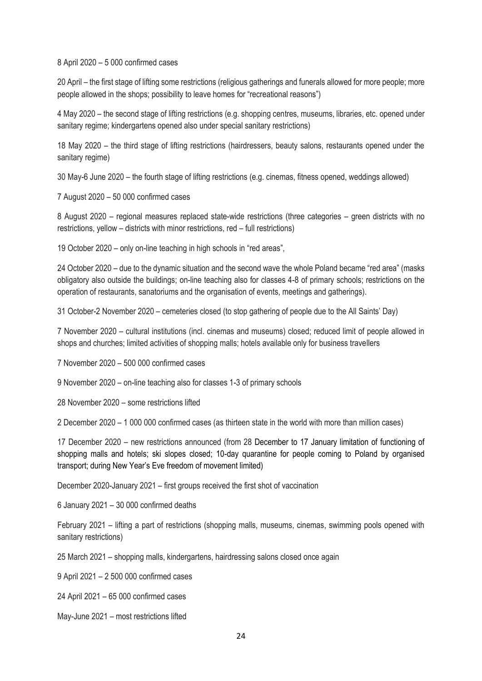8 April 2020 – 5 000 confirmed cases

20 April – the first stage of lifting some restrictions (religious gatherings and funerals allowed for more people; more people allowed in the shops; possibility to leave homes for "recreational reasons")

4 May 2020 – the second stage of lifting restrictions (e.g. shopping centres, museums, libraries, etc. opened under sanitary regime; kindergartens opened also under special sanitary restrictions)

18 May 2020 – the third stage of lifting restrictions (hairdressers, beauty salons, restaurants opened under the sanitary regime)

30 May-6 June 2020 – the fourth stage of lifting restrictions (e.g. cinemas, fitness opened, weddings allowed)

7 August 2020 – 50 000 confirmed cases

8 August 2020 – regional measures replaced state-wide restrictions (three categories – green districts with no restrictions, yellow – districts with minor restrictions, red – full restrictions)

19 October 2020 – only on-line teaching in high schools in "red areas",

24 October 2020 – due to the dynamic situation and the second wave the whole Poland became "red area" (masks obligatory also outside the buildings; on-line teaching also for classes 4-8 of primary schools; restrictions on the operation of restaurants, sanatoriums and the organisation of events, meetings and gatherings).

31 October-2 November 2020 – cemeteries closed (to stop gathering of people due to the All Saints' Day)

7 November 2020 – cultural institutions (incl. cinemas and museums) closed; reduced limit of people allowed in shops and churches; limited activities of shopping malls; hotels available only for business travellers

7 November 2020 – 500 000 confirmed cases

9 November 2020 – on-line teaching also for classes 1-3 of primary schools

28 November 2020 – some restrictions lifted

2 December 2020 – 1 000 000 confirmed cases (as thirteen state in the world with more than million cases)

17 December 2020 – new restrictions announced (from 28 December to 17 January limitation of functioning of shopping malls and hotels; ski slopes closed; 10-day quarantine for people coming to Poland by organised transport; during New Year's Eve freedom of movement limited)

December 2020-January 2021 – first groups received the first shot of vaccination

6 January 2021 – 30 000 confirmed deaths

February 2021 – lifting a part of restrictions (shopping malls, museums, cinemas, swimming pools opened with sanitary restrictions)

25 March 2021 – shopping malls, kindergartens, hairdressing salons closed once again

9 April 2021 – 2 500 000 confirmed cases

24 April 2021 – 65 000 confirmed cases

May-June 2021 – most restrictions lifted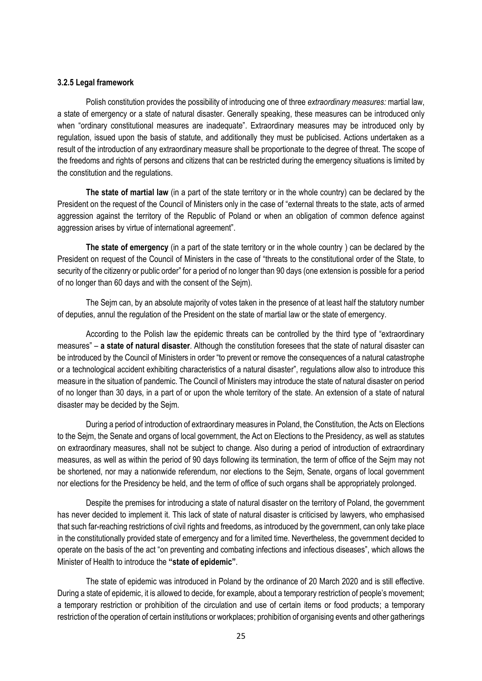#### **3.2.5 Legal framework**

Polish constitution provides the possibility of introducing one of three *extraordinary measures:* martial law, a state of emergency or a state of natural disaster. Generally speaking, these measures can be introduced only when "ordinary constitutional measures are inadequate". Extraordinary measures may be introduced only by regulation, issued upon the basis of statute, and additionally they must be publicised. Actions undertaken as a result of the introduction of any extraordinary measure shall be proportionate to the degree of threat. The scope of the freedoms and rights of persons and citizens that can be restricted during the emergency situations is limited by the constitution and the regulations.

**The state of martial law** (in a part of the state territory or in the whole country) can be declared by the President on the request of the Council of Ministers only in the case of "external threats to the state, acts of armed aggression against the territory of the Republic of Poland or when an obligation of common defence against aggression arises by virtue of international agreement".

**The state of emergency** (in a part of the state territory or in the whole country ) can be declared by the President on request of the Council of Ministers in the case of "threats to the constitutional order of the State, to security of the citizenry or public order" for a period of no longer than 90 days (one extension is possible for a period of no longer than 60 days and with the consent of the Sejm).

The Sejm can, by an absolute majority of votes taken in the presence of at least half the statutory number of deputies, annul the regulation of the President on the state of martial law or the state of emergency.

According to the Polish law the epidemic threats can be controlled by the third type of "extraordinary measures" – **a state of natural disaster**. Although the constitution foresees that the state of natural disaster can be introduced by the Council of Ministers in order "to prevent or remove the consequences of a natural catastrophe or a technological accident exhibiting characteristics of a natural disaster", regulations allow also to introduce this measure in the situation of pandemic. The Council of Ministers may introduce the state of natural disaster on period of no longer than 30 days, in a part of or upon the whole territory of the state. An extension of a state of natural disaster may be decided by the Sejm.

During a period of introduction of extraordinary measures in Poland, the Constitution, the Acts on Elections to the Sejm, the Senate and organs of local government, the Act on Elections to the Presidency, as well as statutes on extraordinary measures, shall not be subject to change. Also during a period of introduction of extraordinary measures, as well as within the period of 90 days following its termination, the term of office of the Sejm may not be shortened, nor may a nationwide referendum, nor elections to the Sejm, Senate, organs of local government nor elections for the Presidency be held, and the term of office of such organs shall be appropriately prolonged.

Despite the premises for introducing a state of natural disaster on the territory of Poland, the government has never decided to implement it. This lack of state of natural disaster is criticised by lawyers, who emphasised that such far-reaching restrictions of civil rights and freedoms, as introduced by the government, can only take place in the constitutionally provided state of emergency and for a limited time. Nevertheless, the government decided to operate on the basis of the act "on preventing and combating infections and infectious diseases", which allows the Minister of Health to introduce the **"state of epidemic"**.

The state of epidemic was introduced in Poland by the ordinance of 20 March 2020 and is still effective. During a state of epidemic, it is allowed to decide, for example, about a temporary restriction of people's movement; a temporary restriction or prohibition of the circulation and use of certain items or food products; a temporary restriction of the operation of certain institutions or workplaces; prohibition of organising events and other gatherings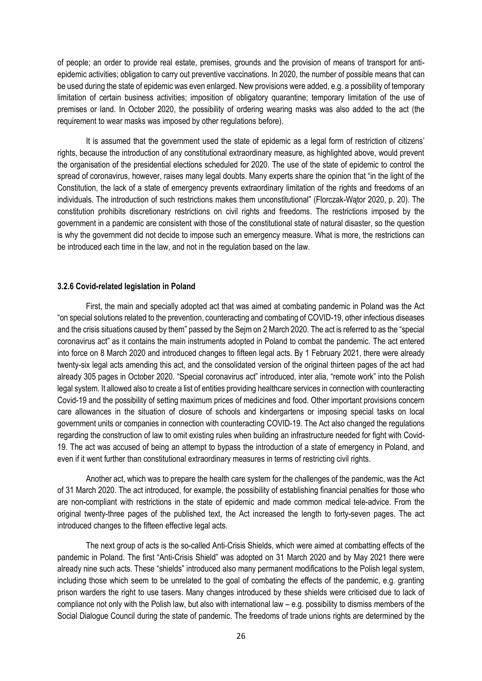of people; an order to provide real estate, premises, grounds and the provision of means of transport for antiepidemic activities; obligation to carry out preventive vaccinations. In 2020, the number of possible means that can be used during the state of epidemic was even enlarged. New provisions were added, e.g. a possibility of temporary limitation of certain business activities; imposition of obligatory quarantine; temporary limitation of the use of premises or land. In October 2020, the possibility of ordering wearing masks was also added to the act (the requirement to wear masks was imposed by other regulations before).

It is assumed that the government used the state of epidemic as a legal form of restriction of citizens' rights, because the introduction of any constitutional extraordinary measure, as highlighted above, would prevent the organisation of the presidential elections scheduled for 2020. The use of the state of epidemic to control the spread of coronavirus, however, raises many legal doubts. Many experts share the opinion that "in the light of the Constitution, the lack of a state of emergency prevents extraordinary limitation of the rights and freedoms of an individuals. The introduction of such restrictions makes them unconstitutional" (Florczak-Wątor 2020, p. 20). The constitution prohibits discretionary restrictions on civil rights and freedoms. The restrictions imposed by the government in a pandemic are consistent with those of the constitutional state of natural disaster, so the question is why the government did not decide to impose such an emergency measure. What is more, the restrictions can be introduced each time in the law, and not in the regulation based on the law.

### **3.2.6 Covid-related legislation in Poland**

First, the main and specially adopted act that was aimed at combating pandemic in Poland was the Act "on special solutions related to the prevention, counteracting and combating of COVID-19, other infectious diseases and the crisis situations caused by them" passed by the Sejm on 2 March 2020. The act is referred to as the "special coronavirus act" as it contains the main instruments adopted in Poland to combat the pandemic. The act entered into force on 8 March 2020 and introduced changes to fifteen legal acts. By 1 February 2021, there were already twenty-six legal acts amending this act, and the consolidated version of the original thirteen pages of the act had already 305 pages in October 2020. "Special coronavirus act" introduced, inter alia, "remote work" into the Polish legal system. It allowed also to create a list of entities providing healthcare services in connection with counteracting Covid-19 and the possibility of setting maximum prices of medicines and food. Other important provisions concern care allowances in the situation of closure of schools and kindergartens or imposing special tasks on local government units or companies in connection with counteracting COVID-19. The Act also changed the regulations regarding the construction of law to omit existing rules when building an infrastructure needed for fight with Covid-19. The act was accused of being an attempt to bypass the introduction of a state of emergency in Poland, and even if it went further than constitutional extraordinary measures in terms of restricting civil rights.

Another act, which was to prepare the health care system for the challenges of the pandemic, was the Act of 31 March 2020. The act introduced, for example, the possibility of establishing financial penalties for those who are non-compliant with restrictions in the state of epidemic and made common medical tele-advice. From the original twenty-three pages of the published text, the Act increased the length to forty-seven pages. The act introduced changes to the fifteen effective legal acts.

The next group of acts is the so-called Anti-Crisis Shields, which were aimed at combatting effects of the pandemic in Poland. The first "Anti-Crisis Shield" was adopted on 31 March 2020 and by May 2021 there were already nine such acts. These "shields" introduced also many permanent modifications to the Polish legal system, including those which seem to be unrelated to the goal of combating the effects of the pandemic, e.g. granting prison warders the right to use tasers. Many changes introduced by these shields were criticised due to lack of compliance not only with the Polish law, but also with international law – e.g. possibility to dismiss members of the Social Dialogue Council during the state of pandemic. The freedoms of trade unions rights are determined by the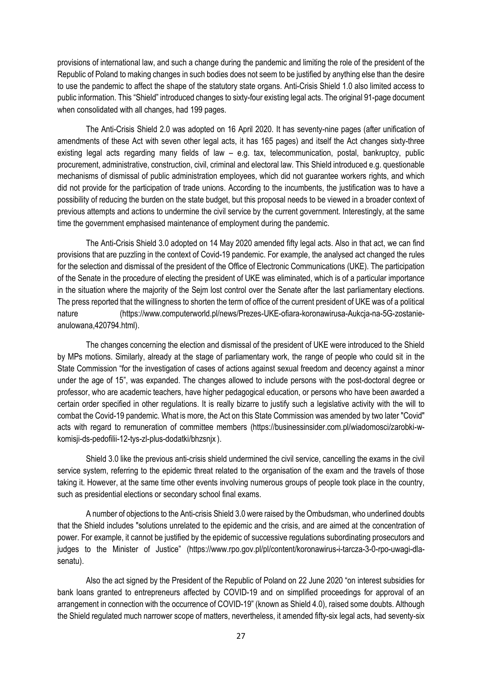provisions of international law, and such a change during the pandemic and limiting the role of the president of the Republic of Poland to making changes in such bodies does not seem to be justified by anything else than the desire to use the pandemic to affect the shape of the statutory state organs. Anti-Crisis Shield 1.0 also limited access to public information. This "Shield" introduced changes to sixty-four existing legal acts. The original 91-page document when consolidated with all changes, had 199 pages.

The Anti-Crisis Shield 2.0 was adopted on 16 April 2020. It has seventy-nine pages (after unification of amendments of these Act with seven other legal acts, it has 165 pages) and itself the Act changes sixty-three existing legal acts regarding many fields of law – e.g. tax, telecommunication, postal, bankruptcy, public procurement, administrative, construction, civil, criminal and electoral law. This Shield introduced e.g. questionable mechanisms of dismissal of public administration employees, which did not guarantee workers rights, and which did not provide for the participation of trade unions. According to the incumbents, the justification was to have a possibility of reducing the burden on the state budget, but this proposal needs to be viewed in a broader context of previous attempts and actions to undermine the civil service by the current government. Interestingly, at the same time the government emphasised maintenance of employment during the pandemic.

The Anti-Crisis Shield 3.0 adopted on 14 May 2020 amended fifty legal acts. Also in that act, we can find provisions that are puzzling in the context of Covid-19 pandemic. For example, the analysed act changed the rules for the selection and dismissal of the president of the Office of Electronic Communications (UKE). The participation of the Senate in the procedure of electing the president of UKE was eliminated, which is of a particular importance in the situation where the majority of the Sejm lost control over the Senate after the last parliamentary elections. The press reported that the willingness to shorten the term of office of the current president of UKE was of a political nature (https://www.computerworld.pl/news/Prezes-UKE-ofiara-koronawirusa-Aukcja-na-5G-zostanieanulowana,420794.html).

The changes concerning the election and dismissal of the president of UKE were introduced to the Shield by MPs motions. Similarly, already at the stage of parliamentary work, the range of people who could sit in the State Commission "for the investigation of cases of actions against sexual freedom and decency against a minor under the age of 15", was expanded. The changes allowed to include persons with the post-doctoral degree or professor, who are academic teachers, have higher pedagogical education, or persons who have been awarded a certain order specified in other regulations. It is really bizarre to justify such a legislative activity with the will to combat the Covid-19 pandemic. What is more, the Act on this State Commission was amended by two later "Covid" acts with regard to remuneration of committee members (https://businessinsider.com.pl/wiadomosci/zarobki-wkomisji-ds-pedofilii-12-tys-zl-plus-dodatki/bhzsnjx ).

Shield 3.0 like the previous anti-crisis shield undermined the civil service, cancelling the exams in the civil service system, referring to the epidemic threat related to the organisation of the exam and the travels of those taking it. However, at the same time other events involving numerous groups of people took place in the country, such as presidential elections or secondary school final exams.

A number of objections to the Anti-crisis Shield 3.0 were raised by the Ombudsman, who underlined doubts that the Shield includes "solutions unrelated to the epidemic and the crisis, and are aimed at the concentration of power. For example, it cannot be justified by the epidemic of successive regulations subordinating prosecutors and judges to the Minister of Justice" (https://www.rpo.gov.pl/pl/content/koronawirus-i-tarcza-3-0-rpo-uwagi-dlasenatu).

Also the act signed by the President of the Republic of Poland on 22 June 2020 "on interest subsidies for bank loans granted to entrepreneurs affected by COVID-19 and on simplified proceedings for approval of an arrangement in connection with the occurrence of COVID-19" (known as Shield 4.0), raised some doubts. Although the Shield regulated much narrower scope of matters, nevertheless, it amended fifty-six legal acts, had seventy-six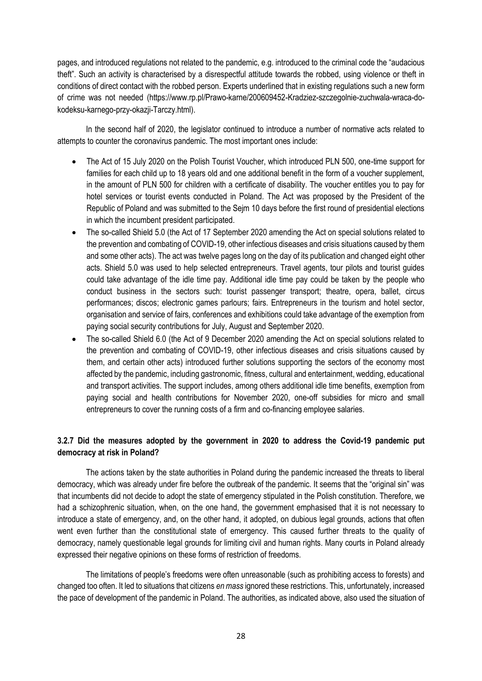pages, and introduced regulations not related to the pandemic, e.g. introduced to the criminal code the "audacious theft". Such an activity is characterised by a disrespectful attitude towards the robbed, using violence or theft in conditions of direct contact with the robbed person. Experts underlined that in existing regulations such a new form of crime was not needed (https://www.rp.pl/Prawo-karne/200609452-Kradziez-szczegolnie-zuchwala-wraca-dokodeksu-karnego-przy-okazji-Tarczy.html).

In the second half of 2020, the legislator continued to introduce a number of normative acts related to attempts to counter the coronavirus pandemic. The most important ones include:

- The Act of 15 July 2020 on the Polish Tourist Voucher, which introduced PLN 500, one-time support for families for each child up to 18 years old and one additional benefit in the form of a voucher supplement, in the amount of PLN 500 for children with a certificate of disability. The voucher entitles you to pay for hotel services or tourist events conducted in Poland. The Act was proposed by the President of the Republic of Poland and was submitted to the Sejm 10 days before the first round of presidential elections in which the incumbent president participated.
- The so-called Shield 5.0 (the Act of 17 September 2020 amending the Act on special solutions related to the prevention and combating of COVID-19, other infectious diseases and crisis situations caused by them and some other acts). The act was twelve pages long on the day of its publication and changed eight other acts. Shield 5.0 was used to help selected entrepreneurs. Travel agents, tour pilots and tourist guides could take advantage of the idle time pay. Additional idle time pay could be taken by the people who conduct business in the sectors such: tourist passenger transport; theatre, opera, ballet, circus performances; discos; electronic games parlours; fairs. Entrepreneurs in the tourism and hotel sector, organisation and service of fairs, conferences and exhibitions could take advantage of the exemption from paying social security contributions for July, August and September 2020.
- The so-called Shield 6.0 (the Act of 9 December 2020 amending the Act on special solutions related to the prevention and combating of COVID-19, other infectious diseases and crisis situations caused by them, and certain other acts) introduced further solutions supporting the sectors of the economy most affected by the pandemic, including gastronomic, fitness, cultural and entertainment, wedding, educational and transport activities. The support includes, among others additional idle time benefits, exemption from paying social and health contributions for November 2020, one-off subsidies for micro and small entrepreneurs to cover the running costs of a firm and co-financing employee salaries.

# **3.2.7 Did the measures adopted by the government in 2020 to address the Covid-19 pandemic put democracy at risk in Poland?**

The actions taken by the state authorities in Poland during the pandemic increased the threats to liberal democracy, which was already under fire before the outbreak of the pandemic. It seems that the "original sin" was that incumbents did not decide to adopt the state of emergency stipulated in the Polish constitution. Therefore, we had a schizophrenic situation, when, on the one hand, the government emphasised that it is not necessary to introduce a state of emergency, and, on the other hand, it adopted, on dubious legal grounds, actions that often went even further than the constitutional state of emergency. This caused further threats to the quality of democracy, namely questionable legal grounds for limiting civil and human rights. Many courts in Poland already expressed their negative opinions on these forms of restriction of freedoms.

The limitations of people's freedoms were often unreasonable (such as prohibiting access to forests) and changed too often. It led to situations that citizens *en mass* ignored these restrictions. This, unfortunately, increased the pace of development of the pandemic in Poland. The authorities, as indicated above, also used the situation of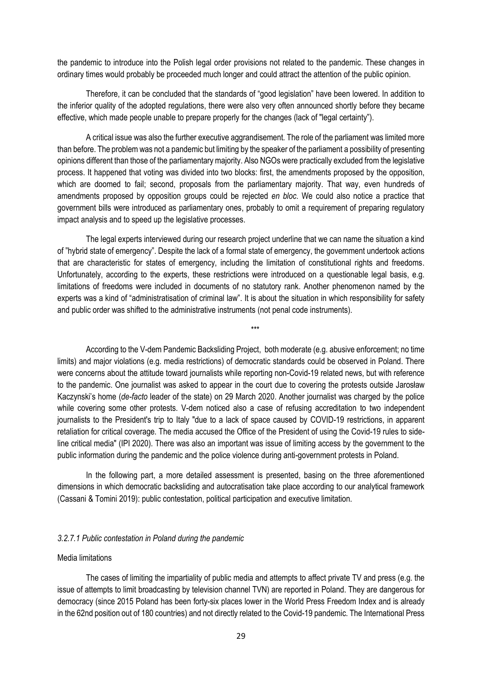the pandemic to introduce into the Polish legal order provisions not related to the pandemic. These changes in ordinary times would probably be proceeded much longer and could attract the attention of the public opinion.

Therefore, it can be concluded that the standards of "good legislation" have been lowered. In addition to the inferior quality of the adopted regulations, there were also very often announced shortly before they became effective, which made people unable to prepare properly for the changes (lack of "legal certainty").

A critical issue was also the further executive aggrandisement. The role of the parliament was limited more than before. The problem was not a pandemic but limiting by the speaker of the parliament a possibility of presenting opinions different than those of the parliamentary majority. Also NGOs were practically excluded from the legislative process. It happened that voting was divided into two blocks: first, the amendments proposed by the opposition, which are doomed to fail; second, proposals from the parliamentary majority. That way, even hundreds of amendments proposed by opposition groups could be rejected *en bloc*. We could also notice a practice that government bills were introduced as parliamentary ones, probably to omit a requirement of preparing regulatory impact analysis and to speed up the legislative processes.

The legal experts interviewed during our research project underline that we can name the situation a kind of "hybrid state of emergency". Despite the lack of a formal state of emergency, the government undertook actions that are characteristic for states of emergency, including the limitation of constitutional rights and freedoms. Unfortunately, according to the experts, these restrictions were introduced on a questionable legal basis, e.g. limitations of freedoms were included in documents of no statutory rank. Another phenomenon named by the experts was a kind of "administratisation of criminal law". It is about the situation in which responsibility for safety and public order was shifted to the administrative instruments (not penal code instruments).

\*\*\*

According to the V-dem Pandemic Backsliding Project, both moderate (e.g. abusive enforcement; no time limits) and major violations (e.g. media restrictions) of democratic standards could be observed in Poland. There were concerns about the attitude toward journalists while reporting non-Covid-19 related news, but with reference to the pandemic. One journalist was asked to appear in the court due to covering the protests outside Jarosław Kaczynski's home (*de-facto* leader of the state) on 29 March 2020. Another journalist was charged by the police while covering some other protests. V-dem noticed also a case of refusing accreditation to two independent journalists to the President's trip to Italy "due to a lack of space caused by COVID-19 restrictions, in apparent retaliation for critical coverage. The media accused the Office of the President of using the Covid-19 rules to sideline critical media" (IPI 2020). There was also an important was issue of limiting access by the government to the public information during the pandemic and the police violence during anti-government protests in Poland.

In the following part, a more detailed assessment is presented, basing on the three aforementioned dimensions in which democratic backsliding and autocratisation take place according to our analytical framework (Cassani & Tomini 2019): public contestation, political participation and executive limitation.

### *3.2.7.1 Public contestation in Poland during the pandemic*

### Media limitations

The cases of limiting the impartiality of public media and attempts to affect private TV and press (e.g. the issue of attempts to limit broadcasting by television channel TVN) are reported in Poland. They are dangerous for democracy (since 2015 Poland has been forty-six places lower in the World Press Freedom Index and is already in the 62nd position out of 180 countries) and not directly related to the Covid-19 pandemic. The International Press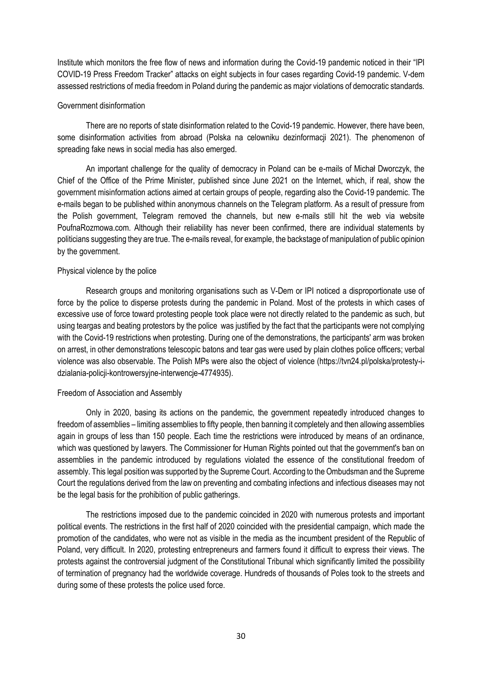Institute which monitors the free flow of news and information during the Covid-19 pandemic noticed in their "IPI COVID-19 Press Freedom Tracker" attacks on eight subjects in four cases regarding Covid-19 pandemic. V-dem assessed restrictions of media freedom in Poland during the pandemic as major violations of democratic standards.

### Government disinformation

There are no reports of state disinformation related to the Covid-19 pandemic. However, there have been, some disinformation activities from abroad (Polska na celowniku dezinformacji 2021). The phenomenon of spreading fake news in social media has also emerged.

An important challenge for the quality of democracy in Poland can be e-mails of Michał Dworczyk, the Chief of the Office of the Prime Minister, published since June 2021 on the Internet, which, if real, show the government misinformation actions aimed at certain groups of people, regarding also the Covid-19 pandemic. The e-mails began to be published within anonymous channels on the Telegram platform. As a result of pressure from the Polish government, Telegram removed the channels, but new e-mails still hit the web via website PoufnaRozmowa.com. Although their reliability has never been confirmed, there are individual statements by politicians suggesting they are true. The e-mails reveal, for example, the backstage of manipulation of public opinion by the government.

### Physical violence by the police

Research groups and monitoring organisations such as V-Dem or IPI noticed a disproportionate use of force by the police to disperse protests during the pandemic in Poland. Most of the protests in which cases of excessive use of force toward protesting people took place were not directly related to the pandemic as such, but using teargas and beating protestors by the police was justified by the fact that the participants were not complying with the Covid-19 restrictions when protesting. During one of the demonstrations, the participants' arm was broken on arrest, in other demonstrations telescopic batons and tear gas were used by plain clothes police officers; verbal violence was also observable. The Polish MPs were also the object of violence (https://tvn24.pl/polska/protesty-idzialania-policji-kontrowersyjne-interwencje-4774935).

### Freedom of Association and Assembly

Only in 2020, basing its actions on the pandemic, the government repeatedly introduced changes to freedom of assemblies – limiting assemblies to fifty people, then banning it completely and then allowing assemblies again in groups of less than 150 people. Each time the restrictions were introduced by means of an ordinance, which was questioned by lawyers. The Commissioner for Human Rights pointed out that the government's ban on assemblies in the pandemic introduced by regulations violated the essence of the constitutional freedom of assembly. This legal position was supported by the Supreme Court. According to the Ombudsman and the Supreme Court the regulations derived from the law on preventing and combating infections and infectious diseases may not be the legal basis for the prohibition of public gatherings.

The restrictions imposed due to the pandemic coincided in 2020 with numerous protests and important political events. The restrictions in the first half of 2020 coincided with the presidential campaign, which made the promotion of the candidates, who were not as visible in the media as the incumbent president of the Republic of Poland, very difficult. In 2020, protesting entrepreneurs and farmers found it difficult to express their views. The protests against the controversial judgment of the Constitutional Tribunal which significantly limited the possibility of termination of pregnancy had the worldwide coverage. Hundreds of thousands of Poles took to the streets and during some of these protests the police used force.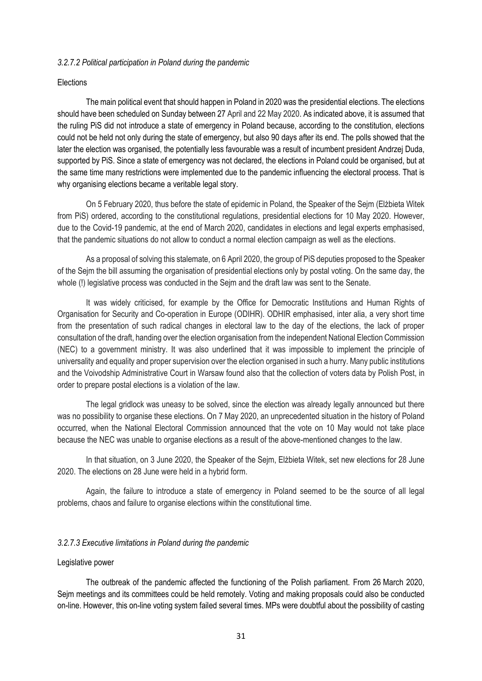### *3.2.7.2 Political participation in Poland during the pandemic*

#### **Elections**

The main political event that should happen in Poland in 2020 was the presidential elections. The elections should have been scheduled on Sunday between 27 April and 22 May 2020. As indicated above, it is assumed that the ruling PiS did not introduce a state of emergency in Poland because, according to the constitution, elections could not be held not only during the state of emergency, but also 90 days after its end. The polls showed that the later the election was organised, the potentially less favourable was a result of incumbent president Andrzej Duda, supported by PiS. Since a state of emergency was not declared, the elections in Poland could be organised, but at the same time many restrictions were implemented due to the pandemic influencing the electoral process. That is why organising elections became a veritable legal story.

On 5 February 2020, thus before the state of epidemic in Poland, the Speaker of the Sejm (Elżbieta Witek from PiS) ordered, according to the constitutional regulations, presidential elections for 10 May 2020. However, due to the Covid-19 pandemic, at the end of March 2020, candidates in elections and legal experts emphasised, that the pandemic situations do not allow to conduct a normal election campaign as well as the elections.

As a proposal of solving this stalemate, on 6 April 2020, the group of PiS deputies proposed to the Speaker of the Sejm the bill assuming the organisation of presidential elections only by postal voting. On the same day, the whole (!) legislative process was conducted in the Seim and the draft law was sent to the Senate.

It was widely criticised, for example by the Office for Democratic Institutions and Human Rights of Organisation for Security and Co-operation in Europe (ODIHR). ODHIR emphasised, inter alia, a very short time from the presentation of such radical changes in electoral law to the day of the elections, the lack of proper consultation of the draft, handing over the election organisation from the independent National Election Commission (NEC) to a government ministry. It was also underlined that it was impossible to implement the principle of universality and equality and proper supervision over the election organised in such a hurry. Many public institutions and the Voivodship Administrative Court in Warsaw found also that the collection of voters data by Polish Post, in order to prepare postal elections is a violation of the law.

The legal gridlock was uneasy to be solved, since the election was already legally announced but there was no possibility to organise these elections. On 7 May 2020, an unprecedented situation in the history of Poland occurred, when the National Electoral Commission announced that the vote on 10 May would not take place because the NEC was unable to organise elections as a result of the above-mentioned changes to the law.

In that situation, on 3 June 2020, the Speaker of the Sejm, Elżbieta Witek, set new elections for 28 June 2020. The elections on 28 June were held in a hybrid form.

Again, the failure to introduce a state of emergency in Poland seemed to be the source of all legal problems, chaos and failure to organise elections within the constitutional time.

#### *3.2.7.3 Executive limitations in Poland during the pandemic*

#### Legislative power

The outbreak of the pandemic affected the functioning of the Polish parliament. From 26 March 2020, Sejm meetings and its committees could be held remotely. Voting and making proposals could also be conducted on-line. However, this on-line voting system failed several times. MPs were doubtful about the possibility of casting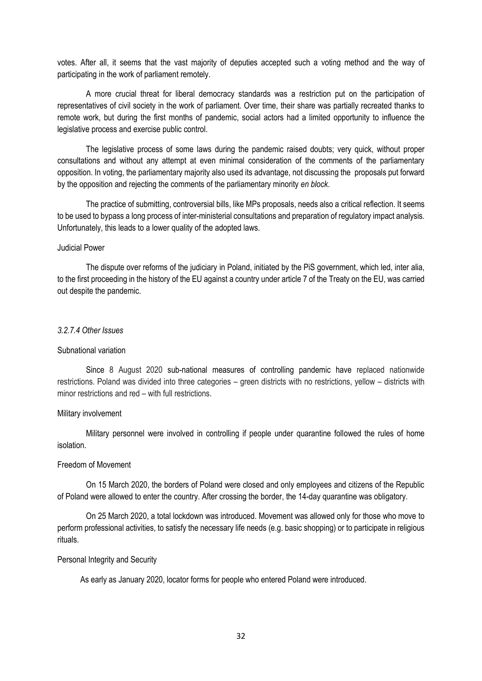votes. After all, it seems that the vast majority of deputies accepted such a voting method and the way of participating in the work of parliament remotely.

A more crucial threat for liberal democracy standards was a restriction put on the participation of representatives of civil society in the work of parliament. Over time, their share was partially recreated thanks to remote work, but during the first months of pandemic, social actors had a limited opportunity to influence the legislative process and exercise public control.

The legislative process of some laws during the pandemic raised doubts; very quick, without proper consultations and without any attempt at even minimal consideration of the comments of the parliamentary opposition. In voting, the parliamentary majority also used its advantage, not discussing the proposals put forward by the opposition and rejecting the comments of the parliamentary minority *en block*.

The practice of submitting, controversial bills, like MPs proposals, needs also a critical reflection. It seems to be used to bypass a long process of inter-ministerial consultations and preparation of regulatory impact analysis. Unfortunately, this leads to a lower quality of the adopted laws.

#### Judicial Power

The dispute over reforms of the judiciary in Poland, initiated by the PiS government, which led, inter alia, to the first proceeding in the history of the EU against a country under article 7 of the Treaty on the EU, was carried out despite the pandemic.

#### *3.2.7.4 Other Issues*

### Subnational variation

Since 8 August 2020 sub-national measures of controlling pandemic have replaced nationwide restrictions. Poland was divided into three categories – green districts with no restrictions, yellow – districts with minor restrictions and red – with full restrictions.

#### Military involvement

Military personnel were involved in controlling if people under quarantine followed the rules of home isolation.

### Freedom of Movement

On 15 March 2020, the borders of Poland were closed and only employees and citizens of the Republic of Poland were allowed to enter the country. After crossing the border, the 14-day quarantine was obligatory.

On 25 March 2020, a total lockdown was introduced. Movement was allowed only for those who move to perform professional activities, to satisfy the necessary life needs (e.g. basic shopping) or to participate in religious rituals.

#### Personal Integrity and Security

As early as January 2020, locator forms for people who entered Poland were introduced.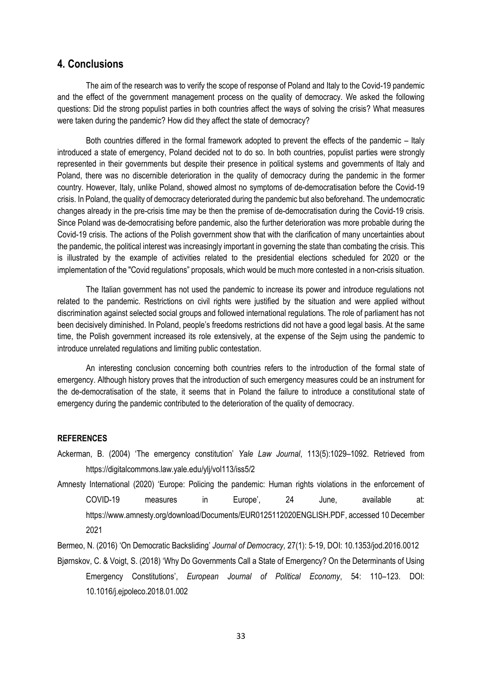# **4. Conclusions**

The aim of the research was to verify the scope of response of Poland and Italy to the Covid-19 pandemic and the effect of the government management process on the quality of democracy. We asked the following questions: Did the strong populist parties in both countries affect the ways of solving the crisis? What measures were taken during the pandemic? How did they affect the state of democracy?

Both countries differed in the formal framework adopted to prevent the effects of the pandemic – Italy introduced a state of emergency, Poland decided not to do so. In both countries, populist parties were strongly represented in their governments but despite their presence in political systems and governments of Italy and Poland, there was no discernible deterioration in the quality of democracy during the pandemic in the former country. However, Italy, unlike Poland, showed almost no symptoms of de-democratisation before the Covid-19 crisis. In Poland, the quality of democracy deteriorated during the pandemic but also beforehand. The undemocratic changes already in the pre-crisis time may be then the premise of de-democratisation during the Covid-19 crisis. Since Poland was de-democratising before pandemic, also the further deterioration was more probable during the Covid-19 crisis. The actions of the Polish government show that with the clarification of many uncertainties about the pandemic, the political interest was increasingly important in governing the state than combating the crisis. This is illustrated by the example of activities related to the presidential elections scheduled for 2020 or the implementation of the "Covid regulations" proposals, which would be much more contested in a non-crisis situation.

The Italian government has not used the pandemic to increase its power and introduce regulations not related to the pandemic. Restrictions on civil rights were justified by the situation and were applied without discrimination against selected social groups and followed international regulations. The role of parliament has not been decisively diminished. In Poland, people's freedoms restrictions did not have a good legal basis. At the same time, the Polish government increased its role extensively, at the expense of the Sejm using the pandemic to introduce unrelated regulations and limiting public contestation.

An interesting conclusion concerning both countries refers to the introduction of the formal state of emergency. Although history proves that the introduction of such emergency measures could be an instrument for the de-democratisation of the state, it seems that in Poland the failure to introduce a constitutional state of emergency during the pandemic contributed to the deterioration of the quality of democracy.

### **REFERENCES**

- Ackerman, B. (2004) 'The emergency constitution' *Yale Law Journal*, 113(5):1029–1092. Retrieved from https://digitalcommons.law.yale.edu/ylj/vol113/iss5/2
- Amnesty International (2020) 'Europe: Policing the pandemic: Human rights violations in the enforcement of COVID-19 measures in Europe', 24 June, available at: https://www.amnesty.org/download/Documents/EUR0125112020ENGLISH.PDF, accessed 10 December 2021
- Bermeo, N. (2016) 'On Democratic Backsliding' *Journal of Democracy,* 27(1): 5-19, DOI: 10.1353/jod.2016.0012
- Bjørnskov, C. & Voigt, S. (2018) 'Why Do Governments Call a State of Emergency? On the Determinants of Using Emergency Constitutions', *European Journal of Political Economy*, 54: 110–123. DOI: 10.1016/j.ejpoleco.2018.01.002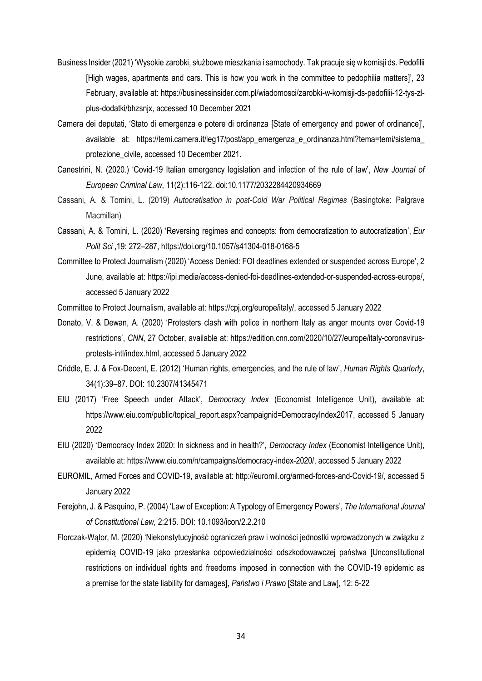- Business Insider (2021) 'Wysokie zarobki, służbowe mieszkania i samochody. Tak pracuje się w komisji ds. Pedofilii [High wages, apartments and cars. This is how you work in the committee to pedophilia matters]', 23 February, available at: https://businessinsider.com.pl/wiadomosci/zarobki-w-komisji-ds-pedofilii-12-tys-zlplus-dodatki/bhzsnjx, accessed 10 December 2021
- Camera dei deputati, 'Stato di emergenza e potere di ordinanza [State of emergency and power of ordinance]', available at: https://temi.camera.it/leg17/post/app\_emergenza\_e\_ordinanza.html?tema=temi/sistema protezione\_civile, accessed 10 December 2021.
- Canestrini, N. (2020.) 'Covid-19 Italian emergency legislation and infection of the rule of law', *New Journal of European Criminal Law*, 11(2):116-122. doi:10.1177/2032284420934669
- Cassani, A. & Tomini, L. (2019) *Autocratisation in post-Cold War Political Regimes* (Basingtoke: Palgrave Macmillan)
- Cassani, A. & Tomini, L. (2020) 'Reversing regimes and concepts: from democratization to autocratization', *Eur Polit Sci* ,19: 272–287, https://doi.org/10.1057/s41304-018-0168-5
- Committee to Protect Journalism (2020) 'Access Denied: FOI deadlines extended or suspended across Europe', 2 June, available at: https://ipi.media/access-denied-foi-deadlines-extended-or-suspended-across-europe/, accessed 5 January 2022

Committee to Protect Journalism, available at: https://cpj.org/europe/italy/, accessed 5 January 2022

- Donato, V. & Dewan, A. (2020) 'Protesters clash with police in northern Italy as anger mounts over Covid-19 restrictions', *CNN*, 27 October, available at: https://edition.cnn.com/2020/10/27/europe/italy-coronavirusprotests-intl/index.html, accessed 5 January 2022
- Criddle, E. J. & Fox-Decent, E. (2012) 'Human rights, emergencies, and the rule of law', *Human Rights Quarterly*, 34(1):39–87. DOI: 10.2307/41345471
- EIU (2017) 'Free Speech under Attack', *Democracy Index* (Economist Intelligence Unit), available at: https://www.eiu.com/public/topical\_report.aspx?campaignid=DemocracyIndex2017, accessed 5 January 2022
- EIU (2020) 'Democracy Index 2020: In sickness and in health?', *Democracy Index* (Economist Intelligence Unit), available at: https://www.eiu.com/n/campaigns/democracy-index-2020/, accessed 5 January 2022
- EUROMIL, Armed Forces and COVID-19, available at: http://euromil.org/armed-forces-and-Covid-19/, accessed 5 January 2022
- Ferejohn, J. & Pasquino, P. (2004) 'Law of Exception: A Typology of Emergency Powers', *The International Journal of Constitutional Law,* 2:215. DOI: 10.1093/icon/2.2.210
- Florczak-Wątor, M. (2020) 'Niekonstytucyjność ograniczeń praw i wolności jednostki wprowadzonych w związku z epidemią COVID-19 jako przesłanka odpowiedzialności odszkodowawczej państwa [Unconstitutional restrictions on individual rights and freedoms imposed in connection with the COVID-19 epidemic as a premise for the state liability for damages], *Państwo i Prawo* [State and Law], 12: 5-22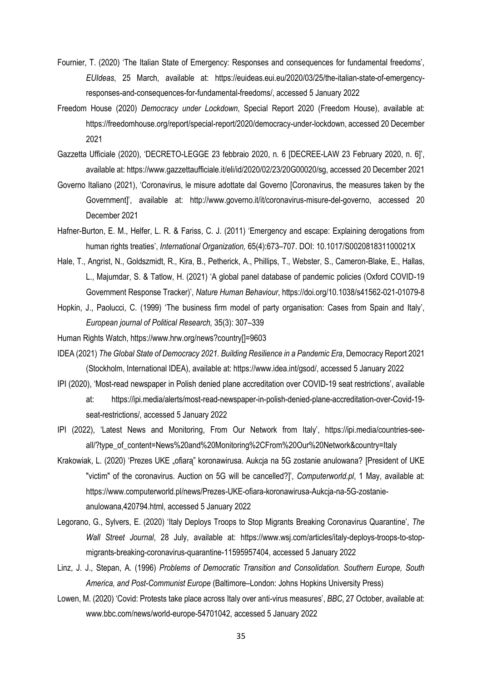- Fournier, T. (2020) 'The Italian State of Emergency: Responses and consequences for fundamental freedoms', *EUIdeas*, 25 March, available at: https://euideas.eui.eu/2020/03/25/the-italian-state-of-emergencyresponses-and-consequences-for-fundamental-freedoms/, accessed 5 January 2022
- Freedom House (2020) *Democracy under Lockdown*, Special Report 2020 (Freedom House), available at: https://freedomhouse.org/report/special-report/2020/democracy-under-lockdown, accessed 20 December 2021
- Gazzetta Ufficiale (2020), 'DECRETO-LEGGE 23 febbraio 2020, n. 6 [DECREE-LAW 23 February 2020, n. 6]', available at: https://www.gazzettaufficiale.it/eli/id/2020/02/23/20G00020/sg, accessed 20 December 2021
- Governo Italiano (2021), 'Coronavirus, le misure adottate dal Governo [Coronavirus, the measures taken by the Government]', available at: http://www.governo.it/it/coronavirus-misure-del-governo, accessed 20 December 2021
- Hafner-Burton, E. M., Helfer, L. R. & Fariss, C. J. (2011) 'Emergency and escape: Explaining derogations from human rights treaties', *International Organization,* 65(4):673–707. DOI: 10.1017/S002081831100021X
- Hale, T., Angrist, N., Goldszmidt, R., Kira, B., Petherick, A., Phillips, T., Webster, S., Cameron-Blake, E., Hallas, L., Majumdar, S. & Tatlow, H. (2021) 'A global panel database of pandemic policies (Oxford COVID-19 Government Response Tracker)', *Nature Human Behaviour*, https://doi.org/10.1038/s41562-021-01079-8
- Hopkin, J., Paolucci, C. (1999) 'The business firm model of party organisation: Cases from Spain and Italy', *European journal of Political Research,* 35(3): 307–339
- Human Rights Watch, https://www.hrw.org/news?country[]=9603
- IDEA (2021) *The Global State of Democracy 2021. Building Resilience in a Pandemic Era*, Democracy Report 2021 (Stockholm, International IDEA), available at: https://www.idea.int/gsod/, accessed 5 January 2022
- IPI (2020), 'Most-read newspaper in Polish denied plane accreditation over COVID-19 seat restrictions', available at: https://ipi.media/alerts/most-read-newspaper-in-polish-denied-plane-accreditation-over-Covid-19 seat-restrictions/, accessed 5 January 2022
- IPI (2022), 'Latest News and Monitoring, From Our Network from Italy', https://ipi.media/countries-seeall/?type\_of\_content=News%20and%20Monitoring%2CFrom%20Our%20Network&country=Italy
- Krakowiak, L. (2020) 'Prezes UKE "ofiarą" koronawirusa. Aukcja na 5G zostanie anulowana? [President of UKE "victim" of the coronavirus. Auction on 5G will be cancelled?]', *Computerworld.pl*, 1 May, available at: https://www.computerworld.pl/news/Prezes-UKE-ofiara-koronawirusa-Aukcia-na-5G-zostanieanulowana,420794.html, accessed 5 January 2022
- Legorano, G., Sylvers, E. (2020) 'Italy Deploys Troops to Stop Migrants Breaking Coronavirus Quarantine', *The Wall Street Journal*, 28 July, available at: https://www.wsj.com/articles/italy-deploys-troops-to-stopmigrants-breaking-coronavirus-quarantine-11595957404, accessed 5 January 2022
- Linz, J. J., Stepan, A. (1996) *Problems of Democratic Transition and Consolidation. Southern Europe, South America, and Post-Communist Europe* (Baltimore–London: Johns Hopkins University Press)
- Lowen, M. (2020) 'Covid: Protests take place across Italy over anti-virus measures', *BBC*, 27 October, available at: www.bbc.com/news/world-europe-54701042, accessed 5 January 2022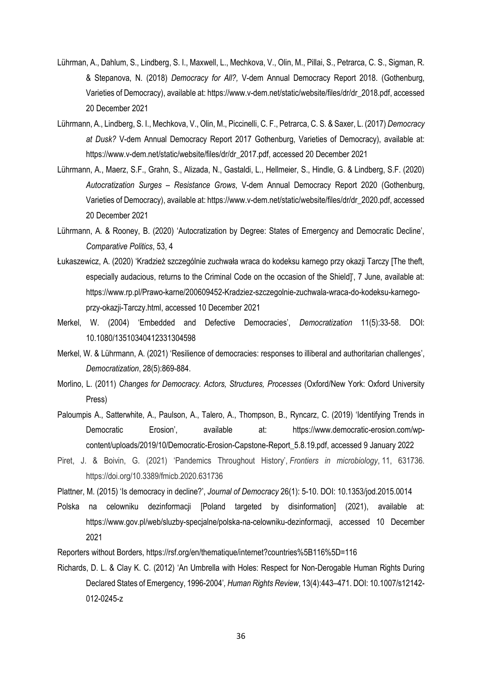- Lührman, A., Dahlum, S., Lindberg, S. I., Maxwell, L., Mechkova, V., Olin, M., Pillai, S., Petrarca, C. S., Sigman, R. & Stepanova, N. (2018) *Democracy for All?,* V-dem Annual Democracy Report 2018. (Gothenburg, Varieties of Democracy), available at: https://www.v-dem.net/static/website/files/dr/dr\_2018.pdf, accessed 20 December 2021
- Lührmann, A., Lindberg, S. I., Mechkova, V., Olin, M., Piccinelli, C. F., Petrarca, C. S. & Saxer, L. (2017) *Democracy at Dusk?* V-dem Annual Democracy Report 2017 Gothenburg, Varieties of Democracy), available at: https://www.v-dem.net/static/website/files/dr/dr\_2017.pdf, accessed 20 December 2021
- Lührmann, A., Maerz, S.F., Grahn, S., Alizada, N., Gastaldi, L., Hellmeier, S., Hindle, G. & Lindberg, S.F. (2020) *Autocratization Surges – Resistance Grows*, V-dem Annual Democracy Report 2020 (Gothenburg, Varieties of Democracy), available at: https://www.v-dem.net/static/website/files/dr/dr\_2020.pdf, accessed 20 December 2021
- Lührmann, A. & Rooney, B. (2020) 'Autocratization by Degree: States of Emergency and Democratic Decline', *Comparative Politics*, 53, 4
- Łukaszewicz, A. (2020) 'Kradzież szczególnie zuchwała wraca do kodeksu karnego przy okazji Tarczy [The theft, especially audacious, returns to the Criminal Code on the occasion of the Shield]', 7 June, available at: https://www.rp.pl/Prawo-karne/200609452-Kradziez-szczegolnie-zuchwala-wraca-do-kodeksu-karnegoprzy-okazji-Tarczy.html, accessed 10 December 2021
- Merkel, W. (2004) 'Embedded and Defective Democracies', *Democratization* 11(5):33-58. DOI: 10.1080/13510340412331304598
- [Merkel,](https://www.tandfonline.com/author/Merkel%2C+Wolfgang) W. & [Lührmann](https://www.tandfonline.com/author/L%C3%BChrmann%2C+Anna), A. (2021) '[Resilience of democracies: responses to illiberal and authoritarian challenges](https://www.tandfonline.com/doi/full/10.1080/13510347.2021.1928081)', *Democratization*, 28(5):869-884.
- Morlino, L. (2011) *Changes for Democracy. Actors, Structures, Processes* (Oxford/New York: Oxford University Press)
- Paloumpis A., Satterwhite, A., Paulson, A., Talero, A., Thompson, B., Ryncarz, C. (2019) 'Identifying Trends in Democratic Erosion', available at: https://www.democratic-erosion.com/wpcontent/uploads/2019/10/Democratic-Erosion-Capstone-Report\_5.8.19.pdf, accessed 9 January 2022
- Piret, J. & Boivin, G. (2021) 'Pandemics Throughout History', *Frontiers in microbiology*, 11, 631736. https://doi.org/10.3389/fmicb.2020.631736
- Plattner, M. (2015) 'Is democracy in decline?', *Journal of Democracy* 26(1): 5-10. DOI: 10.1353/jod.2015.0014
- Polska na celowniku dezinformacji [Poland targeted by disinformation] (2021), available at: https://www.gov.pl/web/sluzby-specjalne/polska-na-celowniku-dezinformacji, accessed 10 December 2021

Reporters without Borders, https://rsf.org/en/thematique/internet?countries%5B116%5D=116

Richards, D. L. & Clay K. C. (2012) 'An Umbrella with Holes: Respect for Non-Derogable Human Rights During Declared States of Emergency, 1996-2004'*, Human Rights Review*, 13(4):443–471. DOI: 10.1007/s12142- 012-0245-z